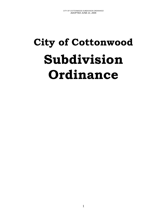# **City of Cottonwood Subdivision Ordinance**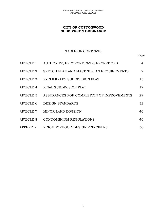### **CITY OF COTTONWOOD SUBDIVISION ORDINANCE**

### TABLE OF CONTENTS

Page

| <b>ARTICLE 1</b> | AUTHORITY, ENFORCEMENT & EXCEPTIONS       | 4  |
|------------------|-------------------------------------------|----|
| <b>ARTICLE 2</b> | SKETCH PLAN AND MASTER PLAN REQUIREMENTS  | 9  |
| <b>ARTICLE 3</b> | PRELIMINARY SUBDIVISION PLAT              | 13 |
| <b>ARTICLE 4</b> | FINAL SUBDIVISION PLAT                    | 19 |
| ARTICLE 5        | ASSURANCES FOR COMPLETION OF IMPROVEMENTS | 29 |
| ARTICLE 6        | <b>DESIGN STANDARDS</b>                   | 32 |
| <b>ARTICLE 7</b> | <b>MINOR LAND DIVISION</b>                | 40 |
| <b>ARTICLE 8</b> | CONDOMINIUM REGULATIONS                   | 46 |
| <b>APPENDIX</b>  | NEIGHBORHOOD DESIGN PRINCIPLES            | 50 |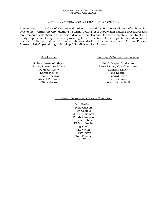#### CITY OF COTTONWOOD SUBDIVISION ORDINANCE

A regulation of the City of Cottonwood, Arizona, providing for the regulation of subdivision development within the City, defining its terms, setting forth subdivision platting procedures and requirements, establishing subdivision design principles and standards, establishing street and utility improvement requirements, providing for modification of the regulations and for other purposes. The provisions of these regulations shall be in accordance with Arizona Revised Statutes, 9-463, pertaining to Municipal Subdivision Regulations.

#### City Council

Ruben Jauregui, Mayor Randy Lowe, Vice-Mayor Joan M. Cerny Karen Pfeiffer Steven Dockray Robert Rothrock Diane Joens

#### Planning & Zoning Commission

Jim Gillespie, Chairman Terry Fisher, Vice-Chairman Edmund Kiyler Ing Kiland Richard Kevin Pat Bartmus David Mazzuchelli

#### Subdivision Regulations Review Committee

Gari Basham Mike Casson Tim Costello Chuck Garrison Randy Garrison George Gehlert Richard Kevin Ing Kiland Pat Naville Jerry Owen Tom Pender Tim Wills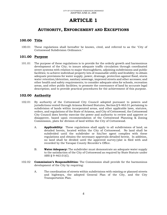### **ARTICLE 1**

### **AUTHORITY, ENFORCEMENT AND EXCEPTIONS**

### **100.00 Title**

 100.01 These regulations shall hereafter be known, cited, and referred to as the "City of Cottonwood Subdivision Ordinance."

### **101.00 Purpose**

 101.01 The purpose of these regulations is to provide for the orderly growth and harmonious development of the City; to insure adequate traffic circulation through coordinated street systems with relation to major thoroughfares, adjoining subdivisions and public facilities; to achieve individual property lots of reasonable utility and livability; to obtain adequate provisions for water supply, power, drainage, protection against flood, storm water retention/detention, sanitary sewerage, improved streets and other accesses; and other health and safety requirements; to consider adequate sites for schools, recreation areas, and other public facilities; to promote the conveyance of land by accurate legal description; and to provide practical procedures for the achievement of this purpose.

### **102.00 Authority**

- 102.01 By authority of the Cottonwood City Council adopted pursuant to powers and jurisdictions vested through Arizona Revised Statutes, Section § 9-463.01 pertaining to subdivision of lands within incorporated areas, and other applicable laws, statutes, orders, and regulations of the State of Arizona, and City of Cottonwood, the Cottonwood City Council does hereby exercise the power and authority to review and approve or disapprove, based upon recommendation of the Cottonwood Planning & Zoning Commission, plats for division of land within the City of Cottonwood.
	- A. **Applicability:** These regulations shall apply to all subdivisions of land, as detailed herein, located within the City of Cottonwood. No land shall be subdivided until the subdivider or his/her agent complies with these regulations and obtains the necessary approvals detailed herein. In addition, no land shall be divided until the approved survey/plat is filed with and recorded by the Yavapai County Recorder's Office.
	- B. **Water Adequacy:** The subdivider must demonstrate an adequate water supply to the satisfaction of the City of Cottonwood as required by State Statute under ARS § 9-463.01(C).
- 102.02 **Commission's Responsibilities:** The Commission shall provide for the harmonious development of the City by requiring:
	- A. The coordination of streets within subdivisions with existing or planned streets and highways, the adopted General Plan of the City, and the City Transportation Plan.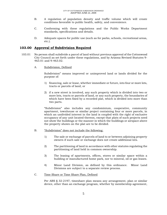- B. A regulation of population density and traffic volume which will create conditions favorable to public health, safety, and convenience.
- C. Conforming with these regulations and the Public Works Department standards, specifications and details.
- D. Adequate spaces for public use (such as for parks, schools, recreational areas, etc.).

### **103.00 Approval of Subdivision Required**

- 103.01 No person shall subdivide a parcel of land without previous approval of the Cottonwood City Council as set forth under these regulations, and by Arizona Revised Statutes 9- 463.01 and 9-463.02.
	- A. Subdivision, Defined

Subdivision" means improved or unimproved land or lands divided for the purpose of:

- 1) financing, sale or lease, whether immediate or future, into four or more lots, tracts or parcels of land, or
- 2) if a new street is involved, any such property which is divided into two or more lots, tracts or parcels of land, or any such property, the boundaries of which have been fixed by a recorded plat, which is divided into more than two parts.

"Subdivision" also includes any condominium, cooperative, community apartment, townhouse or similar project containing four or more parcels, in which an undivided interest in the land is coupled with the right of exclusive occupancy of any unit located thereon, except that plats of such projects need not show the buildings or the manner in which the buildings or airspace above the property shown on the plat are to be divided.

- B. "Subdivision" does not include the following:
	- 1) The sale or exchange of parcels of land to or between adjoining property owners if such sale or exchange does not create additional lots.
	- 2) The partitioning of land in accordance with other statutes regulating the partitioning of land held in common ownership.
	- 3) The leasing of apartments, offices, stores or similar space within a building or manufactured home park, nor to mineral, oil or gas leases.
	- 4) Minor Land Division, as defined by this ordinance. Minor Land Divisions are subject to a separate review process.
- C. Time Share or Time Share Plan, Defined

Per ARS § 32-2197, timeshare plan means any arrangement, plan or similar device, other than an exchange program, whether by membership agreement,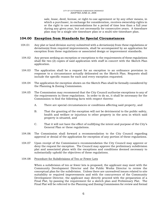sale, lease, deed, license, or right-to-use agreement or by any other means, in which a purchaser, in exchange for consideration, receives ownership rights in or the right to use accommodations for a period of time less than a full year during any given year, but not necessarily for consecutive years. A timeshare plan may be a single site timeshare plan or a multi-site timeshare plan.

### **104.00 Exception from Standards for Special Circumstances**

- 104.01 Any plat or land division survey submitted with a deviation(s) from these regulations or deviation(s) from required improvements, shall be accompanied by an application for exception from these regulations or associated design or improvement standards.
- 104.02 Any person seeking an exception or exceptions to the requirements of these regulations shall file two (2) copies of said application with staff in concert with the Sketch Plan application.
- 104.03 The application shall be a request for an exception to an ordinance provision in response to a circumstance actually delineated on the Sketch Plan. Requests shall include the specific reason for each and every exception requested.
- 104.04 The application for exception shown on the Sketch Plan shall be formally considered by the Planning & Zoning Commission.
- 104.05 The Commission may recommend that the City Council authorize exceptions to any of the requirements in these regulations. In order to do so, it shall be necessary for the Commission to find the following facts with respect thereto:
	- A. There are special circumstances or conditions affecting said property, and
	- B. That the granting of the exception will not be detrimental to the public safety, health and welfare or injurious to other property in the area in which said property is situated, and
	- C. That it will not have the effect of nullifying the intent and purpose of the City's General Plan or these regulations.
- 104.06 The Commission shall forward a recommendation to the City Council regarding approval or denial of the application for exception of any portion of these regulations.
- 104.07 Upon receipt of the Commission's recommendation the City Council may approve or deny the request for exception. The Council may approve the preliminary subdivision plat and associated plans with the exceptions and conditions deemed necessary to substantially uphold the objectives of these regulations.

#### 104.08 Procedure for Subdivisions of Ten or Fewer Lots

When a subdivision of ten or fewer lots is proposed, the applicant may meet with the Community Development Director and the Public Works Director to review the conceptual plan for the subdivision. Unless there are unresolved issues related to site suitability or required improvements and with the concurrence of the Community Development Director, the applicant may directly proceed with the preparation of a Final Plat, by-passing the requirement for a sketch plan and Preliminary Plat. The Final Plat will be referred to the Planning and Zoning Commission for review and formal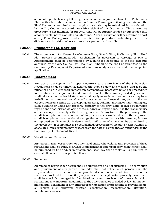action at a public hearing following the same notice requirements as for a Preliminary Plat. With a favorable recommendation from the Planning and Zoning Commission, the Final Plat and all required accompanying materials may be submitted for consideration by the City Council in accordance with Article 4 of this Ordinance. This alternative procedure is not intended for property that will be further divided or subdivided into smaller tracts, parcels or lots at a later time. A deed restriction will be required as part of any Final Plat approved under this alternative procedure prohibiting the further division or subdivision of lots approved as part of the Final Plat.

### **105.00 Processing Fee Required**

 105.01 The submission of a Master Development Plan, Sketch Plan, Preliminary Plat, Final Plat, Revised or Amended Plat, Application for Reversion to Acreage, or Plat of Abandonment shall be accompanied by a filing fee according to the fee schedule approved by the City Council by Resolution. The filing fee shall be submitted to the Community Development Department simultaneously with submittal of a completed application.

### **106.00 Enforcement**

 106.01 Any use or development of property contrary to the provisions of the Subdivision Regulations shall be unlawful, against the public safety and welfare, and a public nuisance and the City shall immediately commence all necessary actions or proceedings for the abatement, enjoinment and removal thereof in the manner provided by law, and shall take such other lawful steps and shall apply to such court or courts as may have jurisdiction to grant such relief as will abate, enjoin and restrain any person, firm or corporation from setting up, developing, erecting, building, moving or maintaining any such building or using any property contrary to the provisions of these subdivision regulations or otherwise violating these subdivision regulations. It is the responsibility of the developer to comply with these regulations. At any time in the processing of the subdivision plat or construction of improvements associated with the approved subdivision plat or construction drawings that non-compliance with these regulations or approved subdivision plat is determined, notification of same shall be transmitted to the developer. If compliance is re-established, processing of the plat or construction of associated improvements may proceed from the date of compliance as authorized by the Community Development Director.

### 106.02 Violations and Penalties

Any person, firm, corporation or other legal entity who violates any provision of these regulations shall be guilty of a Class 3 misdemeanor and, upon conviction thereof, shall be punished by fine and/or imprisonment. Each day that a violation is permitted to exist shall constitute a separate offense.

### 106.03 Remedies

All remedies provided for herein shall be cumulative and not exclusive. The conviction and punishment of any person hereunder shall not relieve such person from the responsibility to correct or remove prohibited conditions. In addition to the other remedies provided in this section, any adjacent or neighboring property owner who shall be specially damaged by the violations of any provisions of these subdivision regulations may institute, in addition to the other remedies provided by law, injunction, mandamus, abatement or any other appropriate action or proceeding to prevent, abate, or remove such unlawful erection, construction, reconstruction, alteration, maintenance or use.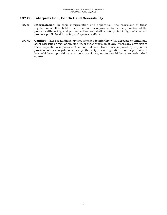### **107.00 Interpretation, Conflict and Severability**

- 107.01 **Interpretation:** In their interpretation and application, the provisions of these regulations shall be held to be the minimum requirements for the promotion of the public health, safety, and general welfare and shall be interpreted in light of what will promote public health, safety and general welfare.
- 107.02 **Conflict:** These regulations are not intended to interfere with, abrogate or annul any other City rule or regulation, statute, or other provision of law. Where any provision of these regulations imposes restrictions, different from those imposed by any other provision of these regulations, or any other City rule or regulation or other provision of law, whichever provisions are more restrictive, or impose higher standards, shall control.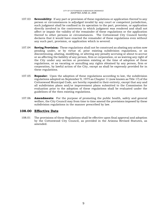- 107.03 **Severability:** If any part or provision of these regulations or application thereof to any person or circumstances is adjudged invalid by any court or competent jurisdiction, such judgment shall be confined in its operation to the part, provision, or application directly involved in the controversy in which judgment was rendered and shall not affect or impair the validity of the remainder of these regulations or the application thereof to other persons or circumstances. The Cottonwood City Council hereby declares that it would have enacted the remainder of these regulations even without any such part, provision, or application which is severed.
- 107.04 **Saving Provision:** These regulations shall not be construed as abating any action now pending under, or by virtue of, prior existing subdivision regulations, or as discontinuing, abating, modifying, or altering any penalty accruing or about to accrue or as affecting the liability of any person, firm or corporation, or as waiving any right of the City under any section or provision existing at the time of adoption of these regulations, or as vacating or annulling any rights obtained by any person, firm or corporation, by lawful action of the City, except as shall be expressly provided for in these regulations.
- 107.05 **Repealer:** Upon the adoption of these regulations according to law, the subdivision regulations adopted on September 9, 1975 as Chapter 11 (now known as Title 17) of the Cottonwood Municipal Code, are hereby repealed in their entirety, except that any and all subdivision plans and/or improvement plans submitted to the Commission for evaluation prior to the adoption of these regulations shall be evaluated under the guidelines of the then existing regulations.
- 107.06 **Amendments:** For the purpose of promoting the public health, safety and general welfare, the City Council may from time to time amend the provisions imposed by these subdivision regulations in the manner prescribed by law.

### **108.00 Effective Date**

 108.01 The provisions of these Regulations shall be effective upon final approval and adoption by the Cottonwood City Council, as provided in the Arizona Revised Statutes, as amended.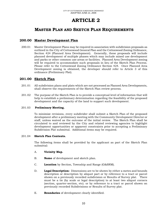### **ARTICLE 2**

### **MASTER PLAN AND SKETCH PLAN REQUIREMENTS**

### **200.00 Master Development Plan**

 200.01 Master Development Plans may be required in association with subdivision proposals as outlined in the City of Cottonwood General Plan and the Cottonwood Zoning Ordinance, Section 424 (Planned Area Development). Generally, these proposals will include planned development of multiple phases which may include mixed use development and parks or other common use areas or facilities. Planned Area Development zoning will be required to accommodate such proposals in lieu of the Sketch Plan Process. Please refer to the Cottonwood Zoning Ordinance Section 424. Once Planned Area Development zoning is obtained, the developer should refer to Article 3 of this ordinance (Preliminary Plat).

### **201.00 Sketch Plan**

- 201.01 All subdivision plans and plats which are not processed as Planned Area Developments, shall observe the requirements of the Sketch Plan review process.
- 201.02 The purpose of the Sketch Plan is to provide a conceptual level of information that will help to establish a preliminary determination regarding the feasibility of the proposed development and the capacity of the land to support such development.

#### 201.03 **Preliminary Meeting.**

To minimize revisions, every subdivider shall submit a Sketch Plan of the proposed development after a preliminary meeting with the Community Development Director or staff, unless waived as the outcome of the initial review. The Sketch Plan shall be circulated to and reviewed by the City and related reviewing agencies to highlight development opportunities or apparent constraints prior to accepting a Preliminary Subdivision Plat submittal. Additional items may be required.

#### 201.04 **Sketch Plan Contents.**

 The following items shall be provided by the applicant as part of the Sketch Plan submittal:

#### A. **Vicinity Map.**

- B. **Name** of development and sketch plan.
- C. **Location** by Section, Township and Range (G&SRM).
- D. **Legal Description:** Dimensions are to be shown by either a metes and bounds description or description by aliquot part or by reference to a tract or parcel shown on a previously recorded subdivision or Results of Survey plat. There must be a tie (by scale or legal description) to at least two aliquot corners (section, quarter-section, etc). or by reference to a tract or parcel shown on previously recorded Subdivisions or Results of Survey plat.
- E. **Boundaries** of development clearly identified.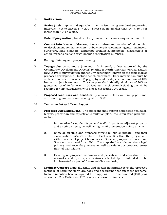### F. **North arrow.**

- G. **Scales** (both graphic and equivalent inch to feet) using standard engineering intervals. Not to exceed 1" = 200'. Sheet size no smaller than 24" x 36", nor larger than 42" on a side.
- H. **Date of preparation** plus date of any amendments since original submittal.
- I. **Contact Info:** Names, addresses, phone numbers and notation of relationship to development for landowners, subdivider/development agents, engineers, surveyors, land planners, landscape architects, architects, hydrologists or others responsible for design (include registration numbers).
- J. **Zoning:** Existing and proposed zoning.
- K. **Topography** by contours (maximum 5' interval, unless approved by the Community Development Director) relating to North American Vertical Datum (NAVD 1988) survey datum and/or City benchmark (shown on the same map as proposed development). Include bench mark used. Base information must be sufficient in order to review. Topography shall be depicted a minimum of 100' beyond project boundary. The site plan shall identify all slopes of 20% or greater (a rise of 20 feet over a 100 foot run). A slope analysis diagram will be required for any subdivision with slopes exceeding 12% grade.
- L. **Proposed land uses and densities** by area as well as ownership patterns, surrounding land uses and zoning within 300'.

### M. **Tentative Lot and Tract Layout.**

- N. **Proposed Circulation Plan:** The applicant shall submit a proposed vehicular, bicycle, pedestrian and equestrian circulation plan. The Circulation plan shall include:
	- 1. In narrative form, identify general traffic impacts to adjacent property and existing streets, as well as high traffic generation points on site.
	- 2. Show all existing and proposed streets (public or private) and their classification (arterial, collector, local street) within the project and within <sup>1/2</sup> mile of project boundaries. Show all proposed connections. Scale not to exceed  $1'' = 500'$ . The map shall also demonstrate legal primary and secondary access as well as existing or proposed street right-of-way widths.
	- 3. Existing or proposed sidewalks and pedestrian and equestrian trail networks and open space features affected by or intended to be implemented as part of future subdivision design.
- O. **Drainage Concept Plan:** Illustrate and discuss in narrative form the proposed methods of handling storm drainage and floodplains that affect the property. Include retention basins required to comply with the one hundred (100) year storm, per City Ordinance 172 or any successor ordinance.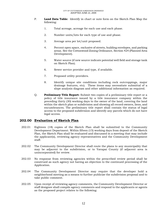- P. **Land Data Table:** Identify in chart or note form on the Sketch Plan Map the following:
	- 1. Total acreage, acreage for each use and each phase.
	- 2. Number units/lots for each type of use and phase.
	- 3. Average area per lot/unit proposed.
	- 4. Percent open space, exclusive of streets, building envelopes, and parking areas. See the Cottonwood Zoning Ordinance, Section 424 (Planned Area Development).
	- 5. Water source (if new source indicate potential well field and storage tank on Sketch Plan).
	- 6. Sewer service provider and type, if available.
	- 7. Proposed utility providers.
	- 8. Identify unique site conditions including rock outcroppings, major drainage features, etc). These items may necessitate submittal of a slope analysis diagram and other additional information as required.
- Q. **Preliminary Title Report:** Submit two copies of a preliminary title report or a policy of title insurance issued by a title insurance company within the preceding thirty (30) working days to the owner of the land, covering the land within the sketch plan or subdivision and showing all record owners, liens, and encumbrances. The preliminary title report shall contain the status of legal access to the proposed subdivision and identify any parcels which do not have legal access.

### **202.00 Evaluation of Sketch Plan**

- 202.01 Eighteen (18) copies of the Sketch Plan shall be submitted to the Community Development Department. Within fifteen (15) working days from deposit of the Sketch Plan, the Sketch Plan shall be evaluated and discussed in a meeting that may include the applicant(s), reviewing agency representatives and the Community Development staff.
- 202.02 The Community Development Director shall route the plans to any municipality that may be adjacent to the subdivision, or to Yavapai County (if adjacent area is unincorporated) for review.
- 202.03 No response from reviewing agencies within the prescribed review period shall be construed as such agency not having an objection to the continued processing of the Application.
- 202.04 The Community Development Director may require that the developer hold a neighborhood meeting as a means to further publicize the subdivision proposal and to take public comment.
- 202.05 Upon receipt of reviewing agency comments, the Community Development Director or staff designee shall compile agency comments and respond to the applicants or agents as the proposed project relates to the following: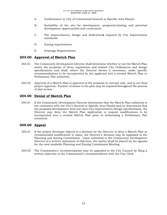- A. Conformance to City of Cottonwood General or Specific Area Plan(s).
- B. Suitability of the site for development, proposed/existing and potential development opportunities and constraints.
- C. The improvements, design and dedication*s* required by City improvement standards.
- D. Zoning requirements.
- E. Drainage Requirements.

### **203.00 Approval of Sketch Plan**

- 203.01 The Community Development Director shall determine whether or not the Sketch Plan meets the purposes of these regulations and related City Ordinances and design specifications and shall, where the Director deems it necessary, make specific recommendations to be incorporated by the applicant into a revised Sketch Plan or Preliminary Plat submittal.
- 203.02 Approval of a Sketch Plan is approval of the proposal in concept only, and is not final project approval. Further revisions to the plan may be required throughout the process of plat review.

### **204.00 Denial of Sketch Plan**

 204.01 If the Community Development Director determines that the Sketch Plan submittal is not consistent with the City's General or Specific Area Plan(s) and/or determines that the proposed development does not meet City improvement/design specifications, the Director may deny the Sketch Plan application or request modifications to be incorporated into a revised Sketch Plan prior to authorizing a Preliminary Plat submittal.

### **205.00 Appeal**

- 205.01 If the project developer objects to a decision by the Director to deny a Sketch Plan or recommended modification to same, the Director's decision may be appealed to the Planning and Zoning Commission. Upon submittal to the Community Development Director of a written statement of objection, the matter shall be placed on the agenda for the next available Planning and Zoning Commission Meeting.
- 205.02 The Commission's recommendation may be appealed to the City Council by filing a written objection to the Commission's recommendation with the City Clerk.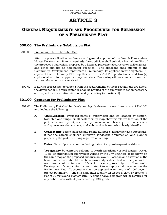### **ARTICLE 3**

### **GENERAL REQUIREMENTS AND PROCEDURES FOR SUBMISSION OF A PRELIMINARY PLAT**

### **300.00 The Preliminary Subdivision Plat**

#### 300.01 Preliminary Plat to be submitted

After the pre-application conference and general approval of the Sketch Plan and/or Master Development Plan (if required), the subdivider shall submit a Preliminary Plat of the proposed subdivision, prepared by a licensed professional surveyor or civil engineer; and other exhibits as hereinafter specified. The applicant shall submit to the Community Development Department a Preliminary Plat application with eighteen (18) copies of the Preliminary Plat, together with  $8-1/2$ "x11" reproductions, and two  $(2)$ copies of all required supplementary materials. Processing will not commence until all required documents are received.

 300.02 If during processing, deviations from the requirements of these regulations are noted, the developer or his representative shall be notified of the appropriate action necessary on his part for the continuation of said proceeding (see Article 1).

### **301.00 Contents for Preliminary Plat**

- 301.01 The Preliminary Plat shall be clearly and legibly drawn to a maximum scale of 1"=100'' and include the following:
	- A. **Title/Locators:** Proposed name of subdivision and its location by section, township and range; small scale vicinity map showing relative location of the plat; scale; north point; reference by dimension and bearing to section corners and quarter-section corners; and subdivision boundaries clearly identified.
	- B. **Contact Info:** Name, address and phone number of landowner (and subdivider, if not the same); engineer, surveyor, landscape architect or land planner preparing the plat, including registration stamp.
	- D. **Dates:** Date of preparation, including dates of any subsequent revisions.
	- E. **Topography** by contours relating to North American Vertical Datum (NAVD 1988), or other datum approved in writing by the City Engineer, to be shown on the same map as the proposed subdivision layout. Location and elevation of the bench mark used should also be shown and/or described on the plat with a maximum contour interval of 5 feet unless approved by the Community Development Director. Source and date of topography shall be noted on the Preliminary Plat. Topography shall be depicted a minimum of 100' beyond project boundary. The site plan shall identify all slopes of 20% or greater (a rise of 20 feet over a 100 foot run). A slope analysis diagram will be required for any subdivision with slopes exceeding 12% grade.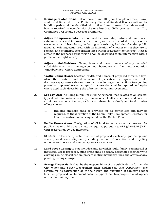- F. **Drainage related items:** Flood hazard and 100 year floodplain areas, if any, shall be delineated on the Preliminary Plat and finished floor elevations for building pads shall be identified within flood hazard areas. Include retention basins required to comply with the one hundred (100) year storm, per City Ordinance 172 or any successor ordinance.
- G. **Adjacent Improvements:** Location, widths, ownership status and names of all existing streets and improvements therein; railroads; recorded utility or other easements or rights-of-way, including any existing facilities therein; public areas; all existing structures, with an indication of whether or not they are to remain; and municipal corporation lines within or adjacent to the tract. Access street to the proposed subdivision shall be described to its intersection with a public street right-of-way.
- H. **Adjacent Subdivisions:** Name, book and page numbers of any recorded subdivisions within or having a common boundary with the tract, or notation "unsubdivided" where appropriate.
- I. **Traffic Connections:** Location, width and names of proposed streets, alleys. Also, the location and dimensions of pedestrian  $\overline{\prime}$  equestrian trails, drainageways, cross-walks and easements including all connections to adjoining platted or unplatted tracts. A typical cross-section shall be depicted on the plat where applicable describing the aforementioned improvements.
- J. **Lot Lay-Out:** including minimum building setback lines related to all streets; typical lot dimensions (scaled); dimensions of all corner lots and lots on curvilinear sections of street; each lot numbered individually and total number of lots shown.
	- 1. Building envelope shall be provided for all corner lots and may be required, at the discretion of the Community Development Director, for lots in sensitive areas designated on the Sketch Plan.
- K. **Public Reservations:** Designation of all land to be dedicated or reserved for public or semi-public use, as may be required pursuant to ARS §9-463.01 (D-F), with reservation by use indicated.
- L. **Utilities:** Reference by note to source of proposed electricity, gas, telephone service, solid waste disposal (including method of collection and recycling options) and police and emergency service agencies.
- M. **Land Uses / Zoning:** If plat includes land for which multi-family, commercial or industrial use is proposed, such areas shall be clearly designated together with existing zoning classification, present district boundary lines and status of any pending zoning change.
- N. **Sewage Disposal:** It shall be the responsibility of the subdivider to furnish the City Water and Sewer Department such evidence as that Department may require for its satisfaction as to the design and operation of sanitary sewage facilities proposed. A statement as to the type of facilities proposed shall appear on the Preliminary Plat.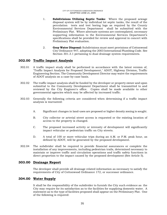- 1. **Subdivisions Utilizing Septic Tanks:**Where the proposed sewage disposal system will be by individual lot septic tanks, the result of the percolation tests and test boring logs as required by the County Environmental Services Department shall be submitted with the Preliminary Plat. Where alternate systems are contemplated, necessary supporting information to the Environmental Services Department's specifications shall be provided for review and approval in concert with Preliminary Plat evaluation.
- 2. **Gray Water Disposal:** Subdivisions must meet provisions of Cottonwood City Ordinance 447, adopting the 2003 International Plumbing Code. See Section 301.3.1 pertaining to dual drainage system requirements.

### **302.00 Traffic Impact Analysis**

- 302.01 A traffic impact study shall be performed in accordance with the latest version of, "Traffic Impact Analysis for Proposed Development," ADOT, Highway Division, Traffic Engineering Section. The Community Development Director may waive the requirements of ADOT analysis on a case-by-case basis.
- 302.02 The traffic impact analysis shall be funded by the developer or property owner and upon submittal to the Community Development Department shall be transmitted to and reviewed by the City Engineer's office. Copies shall be made available to other governmental agencies which may be affected by increased traffic.
- 302.03 Generally the following criteria are considered when determining if a traffic impact analysis is warranted:
	- A. Significant changes in land-uses are proposed or higher density zoning is sought.
	- B. City collector or arterial street access is requested or the existing location of access to the property is changed.
	- C. The proposed increased activity or intensity of development will significantly impact vehicular or pedestrian traffic on City streets.
	- D. A total of 100 or more vehicular trips during an A.M. or P.M. peak hour, as defined by ADOT, will be generated by the proposed development.
- 302.04 The subdivider shall be required to provide financial assurances or complete the installation of any improvements, including pedestrian trails, determined necessary to maintain or improve traffic and circulation operations and traffic safety functions in direct proportion to the impact caused by the proposed development (See Article 5).

### **303.00 Drainage Report**

The developer shall provide all drainage related information as necessary to satisfy the requirements of City of Cottonwood Ordinance 172, or successor ordinance.

### **304.00 Water Supply**

It shall be the responsibility of the subdivider to furnish the City such evidence as the City may require for its satisfaction as to the facilities for supplying domestic water. A statement as to the type of facilities proposed shall appear on the Preliminary Plat. One of the following is required: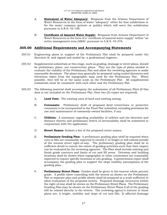- A. **Statement of Water Adequacy:** Response from the Arizona Department of Water Resources in the form of water "adequacy" either for that subdivision or for the water company (private or public) which will serve the subdivision pursuant to A.R.S. 45-108.
- B. **Certificate of Assured Water Supply:** Response from Arizona Department of Water Resources in the form of a "certificate of assured water supply" within "an active management area (AMA)" pursuant to A.R.S. 45-576.

### **305.00 Additional Requirements and Accompanying Statements**

- 305.01 Engineering plans in support of the Preliminary Plat shall be prepared under the direction of, and signed and sealed by, a professional engineer.
- 305.02 Supplemental submittals at this stage, such as grading, drainage or street plans, should be preliminary plans, not construction plans. They are the type of plans needed to evaluate the viability of the Preliminary Plat and allow the reviewing agencies to make reasonable decisions. The plans may generally be prepared using scaled distances and elevations taken from the topographic map used for the Preliminary Plat. When possible, they will be at the same scale as the Preliminary Plat. All supplemental submittals must be consistent with each other and the Preliminary Plat.
- 305.03 The following material shall accompany the submission of all Preliminary Plats (if this data is not included on the Preliminary Plat, then two (2) copies are required):
	- A. **Land Uses:**The existing uses of land and existing zoning.
	- B. **Covenants:**Preliminary draft of proposed deed restrictions or protective covenants to be incorporated in the Final Plat submittal, including provisions for use and maintenance of commonly-owned facilities, if any.
	- C. **Utilities:**A statement regarding availability of utilities and the direction and distance thereto and preliminary letters of serviceability shall be submitted in conjunction with the application.
	- D. **Street Names:** Submit a list of the proposed street names.
	- E. **Preliminary Grading Plan:** A preliminary grading plan shall be required when cuts or fills are reasonably expected to exceed 5' in height or will extend outside of the normal street right-of-way. The preliminary grading plan shall be in sufficient detail to convey the extent of grading activities such that their impact can be evaluated by the reviewing agencies. The Plan shall include existing and finish grade contours and limits of cut and fill areas. Driveway and building locations shall be shown when topographic or other constraints are reasonably expected to require specific locations or site grading. A geotechnical report shall accompany the grading plan to support the slope stability assumptions of the grading plan.
	- F. **Preliminary Street Plans:**Grades shall be given to the nearest whole percent grade. A profile sheet coinciding with the streets as shown on the Preliminary Plat or separate plan and profile sheets shall be prepared at a scale sufficient to allow evaluation of the proposed streets. Proposed drainage structures within the right-of-way shall be shown on the Preliminary Street Plans. The Preliminary Grading Plan may be shown on the Preliminary Street Plans if all of the grading will be related directly to the streets. The reviewing agency's interest in these plans are: l) height, stability and slope of cut and fills, 2) affected drainage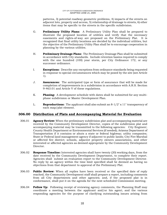patterns, 3) potential roadway geometric problems, 4) impacts of the streets on adjacent lots, property and access, 5) relationship of drainage to streets, 6) other items that may be specific to the streets in the specific subdivision.

- G. **Preliminary Utility Plans:** A Preliminary Utility Plan shall be prepared to illustrate the proposed location of utilities and verify that the necessary easements and rights-of-way are proposed on the Preliminary Plat. It is recognized that final utility locations are decided by the individual utilities, but the objective of the Preliminary Utility Plan shall be to encourage cooperation in planning by the various utilities.
- H. **Preliminary Drainage Plans:** The Preliminary Drainage Plan shall be submitted in accordance with City standards. Include retention basins required to comply with the one hundred (100) year storm, per City Ordinance 172, or any successor ordinance.
- I. **Exceptions:** Describe any exceptions from ordinance standards being requested in response to special circumstances which may be posed by the site (see Article 1).
- J. **Assurances:**The anticipated type or form of assurance that will be made for completion of improvements in a subdivision in accordance with A.R.S. Section 9-463.01 and Article V of these regulations.
- K. **Phasing:**A development schedule with dates shall be submitted for any multiphase subdivision or Master Development Plan.
- L. **Reproductions:** The applicant shall also submit an 8-1/2" x 11" transparency of each map/plat element.

### **306.00 Distribution of Plats and Accompanying Material for Evaluation**

- 306.01 **Agency Review:** When the preliminary subdivision plat and accompanying material are received by the Community Development Director, copies of the subdivision plat and accompanying material may be transmitted to the following agencies: City Engineer; County Health Department or Environmental Services (if needed); Arizona Department of Transportation if it contains or abuts a state or federal highway; utility companies; State or Federal land management agency if adjacent to public lands; City Fire Marshal or affected fire district; schools, adjacent property owners associations, and other interested or affected agencies as deemed appropriate by the Community Development Director.
- 306.02 **Response Timeline:** Interested agencies shall have twenty (20) working days, from the date received by the Community Development Department, to complete their report. Agencies shall submit an evaluation report to the Community Development Director. No reply by an agency within the time limit specified shall be deemed as having no objections from that department to approval of the Preliminary Plat.
- 306.03 **Public Review:** When all replies have been received or the specified date of reply reached, the Community Development staff shall prepare a report, including comments from all City departments and other agencies; and, if the proposed plat is in conformance, shall put it on the agenda for the next scheduled Commission meeting.
- 306.04 **Follow Up:** Following receipt of reviewing agency comments, the Planning Staff may coordinate a meeting between the applicant and/or his agent; and the various responding agencies for the purpose of clarifying outstanding issues arising from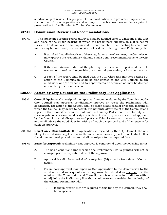subdivision plat review. The purpose of this coordination is to promote compliance with the content of these regulations and attempt to reach consensus on issues prior to presentation to the Planning & Zoning Commission.

### **307.00 Commission Review and Recommendations**

- 307*.*01 The applicant s or their representatives shall be notified prior to a meeting of the time and place of the public hearing at which the preliminary subdivision plat is set for review. The Commission shall, upon said review or such further meeting to which said matter may be continued, hear or consider all evidence relating to said Preliminary Plat.
	- A. If satisfied that all objectives of these regulations have been met, the Commission may approve the Preliminary Plat and shall submit recommendations to the City Council.
	- B. If the Commission finds that the plat requires revision, the plat shall be held over or continued pending revision, resubmittal, processing, or for other reasons.
	- C. A copy of the report shall be filed with the City Clerk and minutes setting out action of the Commission shall be transmitted to the City Council, to the subdivider and/or owner and to departments or agencies as may be deemed advisable by the Commission.

### **308.00 Action by City Council on the Preliminary Plat Application**

- 308*.*01 **Council Options:** On receipt of the report and recommendation by the Commission, the City Council may approve, conditionally approve or reject the Preliminary Plat application. The action of the Council shall be taken at any regular or special meeting at which the Council may desire to hear it, but not until after receipt of the Commission's report. If the Council determines that said Preliminary Plat is not in conformity with these regulations or associated design criteria or if other requirements are not approved by the Council, it shall disapprove said plat specifying its reason or reasons therefore, and shall advise the subdivider in writing of such disapproval and of the reasons for such disapproval.
- 308*.*02 **Rejection / Resubmittal:** If an application is rejected by the City Council, the new filing of a subdivision application for the same parcel(s) or any part thereof, shall follow the aforementioned procedures and shall be subject to the required fees.
- 308.03 **Basis for Approval:** Preliminary Plat approval is conditional upon the following terms:
	- A. The basic conditions under which the Preliminary Plat is granted will not be changed prior to expiration date of the approval.
	- B. Approval is valid for a period of twenty-four (24) months from date of Council action.
	- C. Preliminary approval may, upon written application to the Commission by the subdivider and subsequent Council approval, be extended for one year if, in the opinion of the Commission and Council, there is no change in conditions within or adjoining the Preliminary Plat that would warrant a revision in the design of the original Preliminary Plat.
		- 1. If any improvements are required at this time by the Council, they shall be so specified.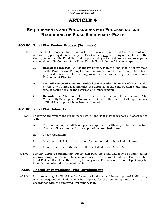### **ARTICLE 4**

### **REQUIREMENTS AND PROCEDURES FOR PROCESSING AND RECORDING OF FINAL SUBDIVISION PLATS**

### **400.00 Final Plat Review Process (Summary)**

- 400.01 The Final Plat stage includes submittal, review and approval of the Final Plat and required supporting documents by the City Council, and recording of the plat with the County Recorder. The Final Plat shall be prepared by a licensed professional surveyor or civil engineer. Evaluation of the Final Plat shall include the following steps:
	- A. **Review of Final Plat:** Unlike the Preliminary Plat, the Final Plat is not reviewed by the Planning and Zoning Commission unless substantial changes have been proposed since the Council approval, as determined by the Community Development Director.
	- B. **Council Review of Final Plat and Other Materials:** The review of the Final Plat by the City Council also includes the approval of the construction plans, and type of assurances for the required site improvements.
	- C. **Recordation:** The Final Plat must be recorded before lots can be sold. The Community Development Director will not record the plat until all requirements of Final Plat approval have been addressed.

### **401.00 Final Plat Submittal**

- 401.01 Following approval of the Preliminary Plat, a Final Plat may be prepared in accordance with:
	- A. The preliminary subdivision plat as approved, with only minor authorized changes allowed and with any stipulations attached thereto.
	- B. These regulations.
	- C. Any applicable City Ordinance or Regulation and State or Federal Laws.
	- D. In accordance with the time limit established under Article 3.
- 401,02 For any approved preliminary subdivision plat, the Final Plat may be submitted for approval progressively in units, each processed as a separate Final Plat. But the initial Final Plat shall include the entire planning area. Portions of the initial plat may be identified as future development tracts.

### **402.00 Phased or Incremental Plat Development**

 402.01 Upon recording of a Final Plat for the entire land area within an approved Preliminary Plat, subsequent Final Plats may be prepared for the remaining units or tracts in accordance with the approved Preliminary Plat.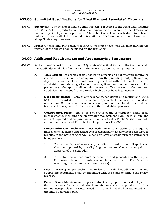### **403.00 Submittal Specifications for Final Plat and Associated Materials**

- 403.01 **Submittal:** The developer shall submit thirteen (13) copies of the Final Plat, together with 8-1/2"x11" reproductions and all accompanying documents to the Cottonwood Community Development Department. The submittal will not be scheduled to be heard unless it contains all of the required information and is found to be in compliance with all applicable requirements.
- 403.02 **Index:** When a Final Plat consists of three (3) or more sheets, one key map showing the relation of the sheets shall be placed on the first sheet.

### **404.00 Additional Requirements and Accompanying Statements**

- 404.01 At the time of depositing the thirteen (13) prints of the Final Plat with the Planning staff, the subdivider shall also file therewith the following accompanying material:
	- A. **Title Report:** Two copies of an updated title report or a policy of title insurance issued by a title insurance company within the preceding thirty (30) working days to the owner of the land, covering the land within the sketch plan or subdivision and showing all record owners, liens, and encumbrances. The preliminary title report shall contain the status of legal access to the proposed subdivision and identify any parcels which do not have legal access.
	- B. **Deed Restrictions:**A copy of any covenants, conditions and restrictions (CC & R's) to be recorded. The City is not responsible for enforcement of deed restrictions. Submittal of restrictions is required in order to address land use issues which may arise in the review of the subdivision proposal.
	- C. **Construction Plans:**Six (6) sets of prints of the construction plans of all improvements, including the stormwater management plan, (both on-site and off-site) required and prepared in accordance with City Public Works standards at a minimum scale of 1"=40 feet no larger than 24" x 36".
	- D. **Construction Cost Estimates:** A cost estimate for constructing all the required improvements, signed and sealed by a professional engineer who is registered to practice in the State of Arizona, if a bond or letter of credit form of assurance is being proposed.
		- 1. The method/type of assurance, including the cost estimate (if applicable) shall be approved by the City Engineer and/or City Attorney prior to approval of the Final Plat.
		- 2. The actual assurance must be executed and presented to the City of Cottonwood before the subdivision plat is recorded. (See Article V regarding cost estimates and assurances).
	- E. **Fee:**The fee(s) for processing and review of the final subdivision plat and supporting documents shall be submitted with the plans to initiate the review process.
	- F. **Private Street Maintenance:** If private streets are proposed in the development, then provisions for perpetual street maintenance shall be provided for in a manner acceptable to the Cottonwood City Council and shall be submitted with the final subdivision plat.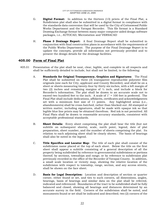- G. **Digital Format:** In addition to the thirteen (13) prints of the Final Plat, a Subdivision plat shall also be submitted in a digital format in compliance with the standards data conversion that will be used by the City of Cottonwood Public Works Department and the Yavapai Recorder. This file format is a Standard Drawing Exchange format between many major computer aided design software packages, i.e., AUTOCAD, Microstation and VERSACAD
- H. **Phase 3 Drainage Report:**A final Drainage Report shall be submitted in conjunction with final construction plans in accordance with the requirements of the Public Works Department. The purpose of the Final Drainage Report is to update the concepts, provide all information not previously provided and to present the design details for the drainage facilities.

### **405.00 Form of Final Plat**

- 405.01 Presentation of the plat shall be neat, clear, legible, and complete in all respects and shall be sufficiently detailed to include, but shall not be limited, to the following:
	- A. **Standards for Original Transparency, Graphics and Signatures:** The Final Plat shall be submitted on three (3) transparent reproducible polyester film originals (one each for City, applicant and County Recorder); and shall be on a sheet or sheets measuring twenty-four by thirty six inches, with a left margin of two (2) inches and remaining margins of ½ inch, and include a block for Recorder's information. The plat shall be drawn to an accurate scale not to exceed two hundred feet to the inch. A scale of 1" = 100 feet is preferred. The Final Plat shall include dedications, affidavits, certificates and acknowledgments set with a minimum font size of 11 points. Any highlighted areas (i.e., abandonments) shall be cross-hatched, rather than blocked-out. All stamped or written matter, including signatures, shall be made with opaque ink so that legible blue line prints may be obtained therefrom. Red ink is not permitted. All Final Plats shall be drawn to reasonable accuracy standards, consistent with acceptable professional standards.
	- B. **Sheet Details:**Every sheet comprising the plat shall bear the title (but not subtitle on subsequent sheets), scale, north point, legend, date of plat preparation, sheet number, and the number of sheets comprising the plat. Its relation to each adjoining sheet shall be clearly shown. The basis of bearings shall also be noted in the legend.
	- C. **Title Specifics and Locator Map:**The title of each plat shall consist of the subdivision name placed at the top of each sheet. Below the title on the first sheet shall appear a subtitle consisting of a general description of all the property being subdivided by reference to governmental subdivisions or portions thereof; by sections, townships and range; or by reference to subdivision plat previously recorded in the office of the Recorder of Yavapai County. In addition, a small scale location or vicinity map, showing the relative location of the subdivision with respect to township, range, section, and any access streets, shall be shown on the face sheet.
	- D. **Basis for Legal Description:**Location and description of section or quarter corner, either found or set, and ties to such corners, all dimensions, angles, bearings, basis of bearings and similar data on the plat shall be referred, indicated and referenced. Boundaries of the tract to be subdivided shall be fully balanced and closed, showing all bearings and distances determined by an accurate survey in the field. Corners of the subdivision shall be noted, and monuments found or set shall be indicated and described; two (2) corners of the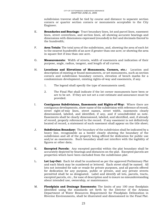subdivision traverse shall be tied by course and distance to separate section corners or quarter section corners or monuments acceptable to the City Engineer.

- E. **Boundaries and Bearings:**Tract boundary lines, lot and parcel lines, easement lines, street centerlines, and section lines, all showing accurate bearings and dimensions with dimensions expressed (rounded) in feet and decimals thereof to the hundredth;
- F. **Area Totals:** The total area of the subdivision, and, showing the area of each lot to the nearest hundredth of an acre if greater than one acre; or showing the area in square feet if less than one acre.
- G. **Measurements:**Width of streets, width of easements and indication of their purpose, angle, radius, tangent, and length of all curves;
- H. **Locations and Elevations of Monuments, Corners, etc.:** Location and description of existing or found monuments, or set monuments, such as section corners and subdivision boundary corners, elevation of bench marks for a condominium development, existing rights-of-way and easements, if any.
	- 1. The legend shall specify the type of monuments used;
	- 2. The Final Plat shall indicate if the lot corner monuments have been or are to be set. If they are not set a cost estimate and assurance must be provided.
- I. **Contiguous Subdivisions, Easements and Rights-of-Way:**Where there are contiguous developments, show name of the subdivision with reference of record, street right-of-way lines, street names, street width, easements clearly dimensioned, labeled, and identified, if any, and if unsubdivided so note. Easements shall be clearly dimensioned, labeled, and identified, and, if already of record, properly referenced to the record. If any easement is not definitively located of record, a statement of such easement shall appear on the title sheet;
- J. **Subdivision Boundary:**The boundary of the subdivision shall be indicated by a heavy line, recognizable as a border clearly showing the boundary of the subdivision and all of the property being offered for dedication for public use and/or as easements. Such boundary shall not interfere with the legibility of figures or other data;
- K. **Excepted Parcels:** Any excepted parcel(s) within the plat boundary shall be accurately depicted by bearings and distances on the plat. Excepted parcels are properties which have been excluded from the subdivision plat.
- L. **Lot Lay-Out:**Each lot shall be numbered as per the approved Preliminary Plat and each block may be numbered or lettered. Each street shall be named. All lots not intended for sale or resale for private purposes, and all parcels offered for dedication for any purpose, public or private, and any private streets permitted shall be so designated. Label and identify all lots, parcels, tracts, excepted parcels, etc., for ease of description and to insure no misunderstanding about intended use, ownership, or maintenance.
- M. **Floodplain and Drainage Easements:** The limits of any 100 year floodplain identified using the standards set forth by the Director of the Arizona Department of Water Resources Requirement for Floodplain Delineation in Riverine Environments, shall be illustrated and dimensioned in the Final Plat.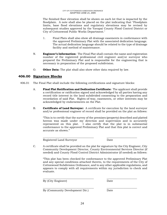The finished floor elevation shall be shown on each lot that is impacted by the floodplain. A note shall also be placed on the plat indicating that "Floodplain limits, base flood elevations and regulatory elevations may be revised by subsequent studies approved by the Yavapai County Flood Control District or City of Cottonwood Public Works Department."

- 1. Final Plats shall also show all drainage easements in conformance with the approved Preliminary Plat with the associated dedication language. The actual dedication language should be related to the type of drainage facility and method of maintenance.
- N. **Engineer's Information:**The Final Plat shall contain the name and registration number of the registered professional civil engineer and/or surveyor who prepared the Preliminary Plat and is responsible for the engineering that is necessary in preparation of the proposed subdivision.
- O. **Other Data:** The plat shall also show other data required by law.

### **406.00 Signature Blocks**

- 406.01 The Final Plat shall include the following certifications and signature blocks:
	- A. **Final Plat Ratification and Dedication Certificate:** The applicant shall provide a certification or ratification signed and acknowledged by all parties having any record title interest in the land subdivided consenting to the preparation and recordation of said Plat. Rights-of-way, easements, or other interests may be acknowledged by endorsements on the Plat.
	- B. **Certificate of Land Surveyor***:* A certificate for execution by the land surveyor and/or professional engineer of record shall be provided on the plat as follows:

"This is to certify that the survey of the premises (property) described and platted hereon was made under my direction and supervision and is accurately represented on this plat. I also certify that the plat is in substantial conformance to the approved Preliminary Plat and that this plat is correct and accurate as shown."

\_\_\_\_\_\_\_\_\_\_\_\_\_\_\_\_\_\_\_\_\_\_\_\_\_\_\_\_\_\_\_\_\_\_\_\_\_ \_\_\_\_\_\_\_\_\_\_\_\_\_\_\_\_\_\_\_\_\_\_ Registered Land Surveyor **Date** 

C. A certificate shall be provided on the plat for signature by the City Engineer, City Community Development Director, County Environmental Services Director (if needed) and County Flood Control District Administrator (if needed) as follows:

\_\_\_\_\_\_\_\_\_\_\_\_\_\_\_\_\_\_\_\_\_\_\_\_\_\_\_\_\_\_\_\_\_\_\_\_\_ \_\_\_\_\_\_\_\_\_\_\_\_\_\_\_\_\_\_\_\_\_\_

"This plat has been checked for conformance to the approved Preliminary Plat and any special conditions attached thereto, to the requirements of the City of Cottonwood Subdivision Ordinance, and to any other applicable regulations, and appears to comply with all requirements within my jurisdiction to check and evaluate.

\_\_\_\_\_\_\_\_\_\_\_\_\_\_\_\_\_\_\_\_\_\_\_\_\_\_\_\_\_\_\_\_\_\_\_\_\_ \_\_\_\_\_\_\_\_\_\_\_\_\_\_\_\_\_\_\_\_\_\_ By (City Engineer) Date

By (Community Development Dir.) Date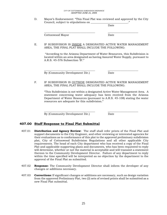#### *CITY OF COTTONWOOD SUBDIVISION ORDINANCE ADOPTED JUNE 21, 2005*

D. Mayor's Endorsement: "This Final Plat was reviewed and approved by the City Council, subject to stipulations on

Date

Cottonwood Mayor Date

\_\_\_\_\_\_\_\_\_\_\_\_\_\_\_\_\_\_\_\_\_\_\_\_\_\_\_\_\_\_\_\_\_\_\_\_\_ \_\_\_\_\_\_\_\_\_\_\_\_\_\_\_\_\_\_\_\_\_\_

E. IF SUBDIVISION IS INSIDE A DESIGNATED ACTIVE WATER MANAGEMENT AREA, THE FINAL PLAT SHALL INCLUDE THE FOLLOWING:

"According to the Arizona Department of Water Resources, this Subdivision is located within an area designated as having Assured Water Supply, pursuant to A.R.S. 45-576 Subsection 'B'."

By (Community Development Dir.) Date

F. IF SUBDIVISION IS OUTSIDE DESIGNATED ACTIVE WATER MANAGEMENT AREA, THE FINAL PLAT SHALL INCLUDE THE FOLLOWING:

\_\_\_\_\_\_\_\_\_\_\_\_\_\_\_\_\_\_\_\_\_\_\_\_\_\_\_\_\_\_\_\_\_\_\_\_\_ \_\_\_\_\_\_\_\_\_\_\_\_\_\_\_\_\_\_\_\_\_\_

"This Subdivision is not within a designated Active Water Management Area. A statement concerning water adequacy has been received from the Arizona Department of Water Resources (pursuant to A.R.S. 45-108) stating the water resources are adequate for this subdivision."

By (Community Development Dir.) Date

\_\_\_\_\_\_\_\_\_\_\_\_\_\_\_\_\_\_\_\_\_\_\_\_\_\_\_\_\_\_\_\_\_\_\_\_\_ \_\_\_\_\_\_\_\_\_\_\_\_\_\_\_\_\_\_\_\_\_\_

### **407.00 Staff Response to Final Plat Submittal**

- 407.01 **Distribution and Agency Review:** The staff shall refer prints of the Final Plat and support documents to the City Engineer, and other reviewing or interested agencies for their evaluations as to conformance of this plat to the approved preliminary subdivision plat, City of Cottonwood Subdivision Regulations and all other applicable City requirements. The head of each City department who has received a copy of the Final Plat and applicable supporting plans and documents, who has been requested to reply will determine, whether or not the material is acceptable and will transmit a statement thereon to the Community Development Director. Failure of any department to reply within the time specified will be interpreted as no objection by the department to the approval of the Final Plat as submitted.
- 407.02 **Response:** The Community Development Director shall inform the developer of any changes or additions necessary.
- 407.03 **Corrections:** If significant changes or additions are necessary, such as design variation from the approved Preliminary Plat, two (2) sets of revised prints shall be submitted as a new Final Plat submittal.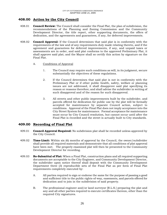### **408.00 Action by the City Council**

- 408.01 **Council Review:** The Council shall consider the Final Plat, the plan of subdivision, the recommendations of the Planning and Zoning Commission and the Community Development Director, the title report, other supporting documents, the offers of dedication, and the agreements and guarantees, if any, for deferred improvements.
- 408.02 **Council Approval:** If the Council determines that said plat is in conformity with the requirements of the law and of any requirements duly made relating thereto, and if the agreement and guarantees for deferred improvements, if any, and unpaid taxes or assessments are in order, and said plat conforms to the approved Preliminary Plat, it shall approve said plat; and the Mayor shall so certify this action by signature on the Final Plat.
	- A. Conditions of Approval
		- 1. The Council may require such conditions as will, in its judgment, secure substantially the objectives of these regulations.
		- 2. If the Council determines that said plat is not in conformity with the Preliminary Plat or if other public health, safety, welfare or planning issues are not addressed, it shall disapprove said plat specifying its reason or reasons therefore; and shall advise the subdivider in writing of such disapproval and of the reason for such disapproval.
		- 3. All streets and other public improvements built by the subdivider, and parcels offered for dedication for public use by the plat will be formally accepted for maintenance by separate Council action, subject to conditions. Approval of the Final Plat does not imply acceptance into the City Street System for maintenance. Formal acceptance for maintenance must occur by City Council resolution, but cannot occur until after the Final Plat is recorded and the street is actually built to City standards.

### **409.00 Recording of Final Plat**

- 409.01 **Council Approval Required:** No subdivision plat shall be recorded unless approved by the City Council.
- 409.02 **Time-Limit:** Within six (6) months of approval by the Council, the owner/subdivider shall provide all required materials and demonstrate that all conditions of plat approval have been met. The properly examined plat will then be presented to the Community Development Director for recording.
- 409.03 **Re-Submittal of Plat:** When a Final Plat, construction plans and all required supporting documents are acceptable to the City Engineer, and Community Development Director, the subdivider upon notice thereof shall deposit with the Community Development Department three (3) reproducible sets of the Final Plat as per form of Final Plat requirements completely executed by:
	- A. All parties required to sign or endorse the same for the purpose of passing a good and sufficient title to the public rights-of-way, easements, and parcels offered for dedication and to join in the subdivision of said property.
	- B. The professional engineer and/or land surveyor [R.L.S.] preparing the plat and any and all other parties required to execute certificates thereon, other than the required City signatures.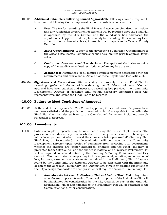- 409.04 **Additional Submittals Following Council Approval:** The following items are required to be submitted following Council approval before the subdivision is recorded:
	- A. **Fee:**The fee for recording the Final Plat and accompanying deed restrictions and any ratification or pertinent documents will be required once the Final Plat is approved by the City Council and the subdivider has addressed the stipulations of approval and the plat is ready for recording. If the recording fee is submitted in the form of a check, it must be made payable to the Yavapai County Recorder.
	- B. **ADRE Questionnaire:**A copy of the developer's Subdivision Questionnaire to the Arizona Real Estate Commissioner shall be submitted prior to approval for lot sales.
	- C. **Conditions, Covenants and Restrictions:** The applicant shall also submit a copy of the subdivision's deed restrictions before any lots are sold.
	- D. **Assurances:**Assurances for all required improvements in accordance with the requirements and provisions of Article 5 of these Regulations (see Article 5).
- 409.04 **Signatures and Recordation:** After receiving the properly executed Final Plat for recording together with the materials evidencing that all of the stipulations of Council approval have been satisfied and necessary recording fees provided, the Community Development Director or designee shall obtain necessary signatures from City representatives and cause the Final Plat to be recorded.

### **410.00 Failure to Meet Conditions of Approval**

 410.01 At the end of one (1) year after City Council approval, if the conditions of approval have not been satisfied and the plat is not presented or found acceptable for recording the Final Plat shall be referred back to the City Council for action, including possible revocation of approval.

### **411.00 Amendments**

- 411.01 Subdivision plat proposals may be amended during the course of plat review. The process for amendment depends on whether the change is determined to be major or minor in scope, and at what interval the change is being proposed (Preliminary Plat, Final Plat, or Recordation). A determination will be made by the Community Development Director upon receipt of comments from reviewing City departments whether the changes are "minor authorized" changes and the Final Plat may be presented to the City Council or if the change is material and a "revised" Preliminary Plat will be required for consideration by the Planning & Zoning Commission and City Council. Minor authorized changes may include adjustment, variation, and reduction of lots, lot lines, easements or statements contained in the Preliminary Plat if they are found by the Community Development Director to be consistent with the intent and design of the approved Preliminary Plat. Adding lots, streets or creating exceptions to the City's design standards are changes which will require a "revised" Preliminary Plat.
	- A. **Amendments between Preliminary Plat and before Final Plat:** Any minor amendment proposed following Commission approval of the Preliminary Plat will be highlighted for consideration by the City Council as part of the Final Plat application. Major amendments to the Preliminary Plat will be returned to the Commission for further consideration.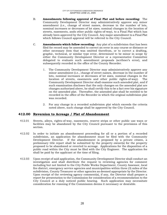- B. **Amendments following approval of Final Plat and before recording:** The Community Development Director may administratively approve any minor amendment (i.e., change of street names, decrease in the number of lots, nominal increases or decreases of lot sizes; nominal changes in the location of streets, easements, ands other public rights-of-way), to a Final Plat which has already been approved by the City Council. Any major amendment to a Final Plat which follows Council approval will be referred to the City Council.
- C. **Amendments which follow recording:** Any plat of a subdivision that has been filed for record may be amended to correct an error in any course or distance or other necessary item that was omitted therefrom, or to correct a drafting, graphic, technical, or similar type error, determined to be minor in scope by either the Community Development Director or a representative Committee delegated to evaluate such amendment proposals (scribner's error), and subsequently recorded in the office of the County Recorder.
	- 1. The Community Development Director may administratively approve any minor amendment (i.e., change of street names, decrease in the number of lots, nominal increases or decreases of lot sizes, nominal changes in the location of streets, easements and other public rights-of-way). The Community Development Director shall examine such amended plat, and if such examination discloses that the only changes on the amended plat are changes authorized above, he shall certify this to be a fact over his signature on the amended plat. Thereafter, the amended plat shall be entitled to be recorded in the office of the Recorder in which the original subdivision plat was recorded.
	- 2. For any change in a recorded subdivision plat which exceeds the criteria noted above, such change shall be approved by the City Council.

### **412.00 Reversion to Acreage / Plat of Abandonment**

- 412.01 Streets, alleys, rights-of-way, easements, reserve strips or other public use ways or facilities may be abandoned by the City Council pursuant to the provisions of this section.
- 412.02 In order to initiate an abandonment proceeding for all or a portion of a recorded subdivision, an application for abandonment must be filed with the Community Development Director. If the abandonment is proposed by a private citizen, a preliminary title report shall be submitted by the property owner(s) for the property proposed to be abandoned or reverted to acreage. Applications for the disposition of a public road within the City must be filed with the City Engineer. The application fee shall be paid by the applicant at the time of filing.
- 412.03 Upon receipt of said application, the Community Development Director shall conduct an investigation and shall distribute the request to reviewing agencies for comment including but not limited to the City Public Works Department, County Assessor, local fire district, emergency service agencies and municipalities within three (3) miles of the subdivision, County Treasurer or other agencies as deemed appropriate by the Director. Upon receipt of the reviewing agency comment(s), if any, the Director shall prepare a report for presentation to the Commission for consideration of a recommendation to the City Council at a duly noticed public hearing. Such application may necessitate consideration for rezoning if the Commission deems it necessary or desirable.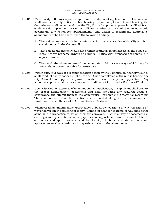- 412.04 Within sixty (60) days upon receipt of an abandonment application, the Commission shall conduct a duly noticed public hearing. Upon completion of said hearing, the Commission shall recommend that the City Council approve, approve in modified form, or deny said application as well as indicate whether or not zoning changes should accompany any action for abandonment. Any action to recommend approval of abandonment shall be based upon the following findings:
	- A. That said abandonment is in the interests of the general welfare of the City and is in correlation with the General Plan.
	- B. That said abandonment would not prohibit or unduly inhibit access by the public-atlarge, nearby property owners and public utilities with proposed development in adjacent areas.
	- C. That said abandonment would not eliminate public access ways which may be presently in use or desirable for future use.
- 412.05 Within sixty (60) days of a recommendation action by the Commission, the City Council shall conduct a duly noticed public hearing. Upon completion of the public hearing, the City Council shall approve, approve in modified form, or deny said application. Any action to approve shall be based upon the findings set forth under Section 412.04.
- 412.06 Upon City Council approval of an abandonment application, the applicant shall prepare the proper abandonment documents and plat, including any required deeds of conveyance and submit them to the Community Development Director for recording. The abandonment shall be effective when recorded along with an abandonment resolution in compliance with Arizona Revised Statutes.
- 412.07 Whenever an abandonment is approved for publicly owned rights-of-way, the rights-ofway shall vest in the abutting property. Zoning for abandoned rights-of-way shall be the same as the properties to which they are conveyed. Rights-of-way or easements of existing sewer, gas, water or similar pipelines and appurtenances and for canals, laterals or ditches and appurtenances, and for electric, telephone, and similar lines and appurtenances shall continue as they existed prior to the abandonment.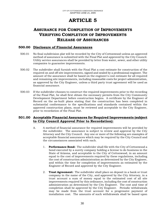### **ARTICLE 5**

### **ASSURANCE FOR COMPLETION OF IMPROVEMENTS VERIFYING COMPLETION OF IMPROVEMENTS RELEASE OF ASSURANCES**

### **500.00 Disclosure of Financial Assurances**

- 500.01 No final subdivision plat will be recorded by the City of Cottonwood unless an approved method of assurance is submitted with the Final Plat and approved by the City Council. Utility service assurances shall be provided by letter from water, sewer, and other utility companies to guarantee improvements.
- 500.02 The subdivider shall furnish with the Final Plat a cost estimate for construction of the required on and off site improvements, signed and sealed by a professional engineer. The amount of the assurance shall be based on the engineer's cost estimate for all required and remaining site improvements, including reasonable costs for project administration, as approved by the City Engineer, unless a third party trust agreement will be used as financial assurance.
- 500.03 If the subdivider chooses to construct the required improvements prior to the recording of the Final Plat, he shall first obtain the necessary permits from the City Community Development Department before construction begins. A certificate by the Engineer of Record on the as-built plans stating that the construction has been completed in substantial conformance to the specifications and standards contained within the approved construction plans, must be reviewed and acceptable to the City Engineer, prior to recordation of the Final Plat.

### **501.00 Acceptable Financial Assurances for Required Improvements (subject to City Council Approval Prior to Recordation):**

- A. A method of financial assurance for required improvements will be provided by the subdivider. The assurance is subject to review and approval by the City Attorney and the City Council. Any one or more of the following are examples of acceptable financial assurances which may be required by the City Council and the circumstances associated with each.
	- 1. **Performance Bond:** The subdivider shall file with the City of Cottonwood a bond executed by a surety company holding a license to do business in the State of Arizona, and acceptable to the City of Cottonwood, in an amount equal to the cost of improvements required by these regulations, including the cost of construction administration as determined by the City Engineer, and within the time for completion of improvements as estimated by the Engineer of Record and approved by the City Engineer.
	- 2. **Trust Agreement:** The subdivider shall place on deposit in a bank or trust company in the name of the City, and approved by the City Attorney, in a trust account a sum of money equal to the estimated cost of all site improvements required by this ordinance, including the cost of construction administration as determined by the City Engineer. The cost and time of completion shall be approved by the City Engineer. Periodic withdrawals may be made from the trust account for a progressive payment of installation cost. The amounts of such withdrawals shall be based upon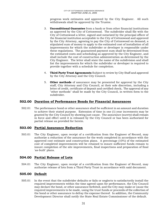progress work estimates and approved by the City Engineer. All such withdrawals shall be approved by the Trustee.

- 3. **Unconditional Guarantee** from a bank or from other financial institutions as approved by the City of Cottonwood. The subdivider shall file with the City of Cottonwood a letter, signed and notarized by the principal officer of the financial institution acceptable to the City of Cottonwood and approved by the City Attorney, agreeing to pay the City of Cottonwood on demand, a stipulated sum of money to apply to the estimated cost of installation of all improvements for which the subdivider or developer is responsible under these regulations. The guaranteed payment sum shall be determined from the estimated costs and scheduling as approved by the City Engineer, and shall include the cost of construction administration as determined by the City Engineer. The letter shall state the name of the subdivision and shall list the improvements for which the subdivider or developer is required to provide together with a schedule for completion.
- 4. **Third Party Trust Agreements** Subject to review by City Staff and approved by the City Attorney and the City Council.
- 5. **Other methods** of assurance may be presented for approval by the City staff, City Attorney and City Council, at their sole discretion, including a letter of credit, certificate of deposit and certified check*.* The approval of any "other methods" shall be made by the City Council, in written form to the subdivider.

### **502.00 Duration of Performance Bonds for Financial Assurances**

 502.01 The performance bond or other assurance shall be sufficient in an amount and duration to achieve their stated purpose*.* Extension of time in one (1) year increments may be granted by the City Council by showing just cause. The assurance (surety) shall remain in force and effect until it is released by the City Council or has been authorized for partial release as provided for herein.

### **503.00 Partial Assurance Reduction**

 503.01 The City Engineer, upon receipt of a certification from the Engineer of Record, may authorize a reduction of the assurance for the work completed in accordance with the approved cost estimate and construction plans. A percentage (10%) of the estimated cost of completed improvements will be retained to insure sufficient funds remain to insure completion of the site improvements, final inspections and preparation of final 'as-built' plans.

### **504.00 Partial Release of Lots**

 504.01 The City Engineer, upon receipt of a certification from the Engineer of Record, may authorize release of lots from a Third Party Trust in accordance with said document.

### **505.00 Default**

 505.01 In the event that the subdivider defaults or fails or neglects to satisfactorily install the required improvements within the time agreed upon for performance, the City Council may declare the bond, or other assurance forfeited, and the City may make or cause the required improvements to be made, using the trust funds or proceeds of the collection of the bond or other assurance to defray the expense thereof. In addition, the Community Development Director shall notify the State Real Estate Commissioner of the default.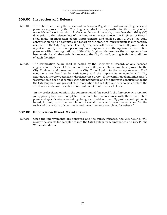### **506.00 Inspection and Release**

- 506.01 The subdivider, using the services of an Arizona Registered Professional Engineer and plans as approved by the City Engineer, shall be responsible for the quality of all materials and workmanship. At the completion of the work, or not less than thirty (30) days prior to the release date of the bond or other assurance, the Engineer of Record shall make an inspection of the improvements and shall submit a set of 'as-built' construction plans if complete or a report on the status of improvements if only partially complete to the City Engineer. The City Engineer will review the as-built plans and/or report and notify the developer of any noncompliance with the approved construction plans or with these regulations. If the City Engineer determines that compliance has been made, he will then submit a report to the City Council, setting forth the conditions of such facilities.
- 506.02 The certification below shall be sealed by the Engineer of Record, or any licensed engineer in the State of Arizona, on the as built plans. Plans must be approved by the City Engineer and presented to the City Council prior to the surety release. If all conditions are found to be satisfactory and the improvements comply with City Standards, the City Council shall release the surety. If the condition of materials and/o workmanship does not comply with City Standards and the approved construction plans the City Engineer will present this information to the City Council who may declare the subdivider in default. Certification Statement shall read as follows:

"In my professional opinion, the construction of *[the specific site improvements required for approval]* has been completed in substantial conformance with the construction plans and specifications including changes and addendums. My professional opinion is based, in part, upon the completion of certain tests and measurements and/or the review of the results of such tests and measurements completed by others."

### **507.00 Subdivision Street Maintenance**

 507.01 Once the improvements are approved and the surety released, the City Council will review the streets for acceptance into the City System for Maintenance and City Public Works standards.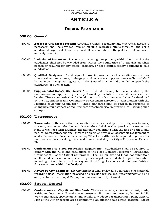### **ARTICLE 6**

### **DESIGN STANDARDS**

### **600.00 General**

- 600.01 **Access to City Street System:** Adequate primary, secondary and emergency access, if necessary, shall be provided from an existing dedicated public street to land being subdivided. Approval of such access shall be a condition of the plat by the Commission and City Council.
- 600.02 **Inclusion of Properties:** Portions of any contiguous property within the control of the subdivider shall not be excluded from within the boundaries of a subdivision when needed or required for any traffic, drainage, or flood control facility pertinent to said subdivision.
- 600.03 **Qualified Designers:** The design of those improvements of a subdivision such as structural matters, streets, drainage provisions, water supply and sewage disposal shall be made by an engineer registered in the State of Arizona and qualified to specify the standards for such design.
- 600.04 **Supplemental Design Standards:** A set of standards may be recommended by the Commission and approved by the City Council by resolution on each item as described herein. These standards shall be in addition to this Ordinance, and shall be developed by the City Engineer and Community Development Director, in consultation with the Planning & Zoning Commission. These standards may be revised in response to changing circumstances or requirements or technological improvements justifying such changes.

### **601.00 Watercourses**

- 601.01 **Easements:** In the event that the subdivision is traversed by or is contiguous to lakes, streams, washes, or other bodies of water, the subdivider shall provide an easement or right-of-way for storm drainage substantially conforming with the line or path of any natural watercourse, channel, stream or creek, or provide an acceptable realignment of said watercourse. Easements exceeding 20 feet in width may be required to provide for non-motorized access along this corridor, as indicated by the City of Cottonwood General Plan.
- 601.02 **Conformance to Flood Prevention Regulations:**Subdividers shall be required to comply with the rules and regulations of the Flood Damage Prevention Regulations, Ordinance 218 of the City of Cottonwood. The Preliminary and Final Plat submittals shall include information as specified by these regulations and shall depict information including but not limited to floodway and flood fringe locations and minimum finished floor elevations, within the floodplain.
- 601.03 **Review by City Engineer:**The City Engineer shall review all subdivision plat materials regarding flood information provided and provide professional recommendations and analysis to the Planning & Zoning Commission and City Council.

### **602.00 Streets, General**

 602.01 **Conformance to City Street Standards:** The arrangement, character, extent, grade, width, and location of all roadways or streets shall conform to these regulations, Public Works standards, specifications and details, any adopted transportation plan, General Plan of the City or specific area community plan affecting said street locations. Street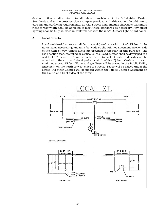design profiles shall conform to all related provisions of the Subdivision Design Standards and to the cross-section examples provided with this section. In addition to curbing and surfacing requirements, all City streets shall include sidewalks Minimum right-of-way width shall be adjusted to meet these standards as necessary. Any street lighting shall be fully shielded in conformance with the City's Outdoor lighting ordinance.

### **A. Local Streets.**

Local residential streets shall feature a right-of way width of 40-45 feet (to be adjusted as necessary); and an 8 foot wide Public Utilities Easement on each side of the right-of-way (unless alleys are provided at the rear for this purpose). The road section features rolled or vertical curbs. Road surface shall be developed to a width of 30' measured from the back of curb to back of curb. Sidewalks will be attached to the curb and developed at a width of five (5) feet. Curb return radii shall not exceed 15 feet. Water and gas lines will be placed in the Public Utility Easement on the north or west sides of streets. Sewer will be placed under the street. All other utilities will be placed within the Public Utilities Easement on the South and East sides of the street.

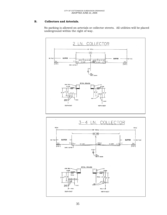### **B. Collectors and Arterials.**

No parking is allowed on arterials or collector streets. All utilities will be placed underground within the right of way.



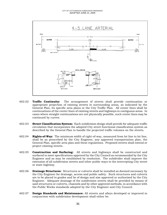

- 602.02 **Traffic Continuity:**The arrangement of streets shall provide continuation or appropriate projection of existing streets in surrounding areas, as indicated by the General Plan, its specific area plans or the City Traffic Plan. All center lines shall be continuations of the center lines of existing streets and highways in contiguous areas. In cases where straight continuations are not physically possible, such center lines may be continued by curves.
- 602.03 **Street Classification System:**Each subdivision design shall provide for adequate traffic circulation that incorporates the adopted City street functional classification system as described by the General Plan to handle the projected traffic volumes on the streets.
- 602.04 **Rights-of-Way:** The minimum width of right-of-way, measured from lot line to lot line, shall be as prescribed by the City Engineer, any approved transportation plan, the General Plan, specific area plan and these regulations. Proposed streets shall extend or project existing streets.
- 602.05 **Construction and Surfacing:**All streets and highways shall be constructed and surfaced to meet specifications approved by the City Council as recommended by the City Engineer and as may be established by resolution. The subdivider shall improve the extension of all subdivision streets and other public ways to the intercepting City street or state highway.
- 602.06 **Drainage Structures:**Structures or culverts shall be installed as deemed necessary by the City Engineer for drainage, access and public safety. Such structures and culverts are to be placed to grades and be of design and size approved or authorized by the City Engineer. Adequate drainage of the subdivision streets shall be provided by means of said structures or culverts, channels and by other approved methods, in accordance with the Public Works standards adopted by the City Engineer and City Council.
- 602.07 **Design Standards and Maintenance:** All streets and alleys developed or improved in conjunction with subdivision development shall either be: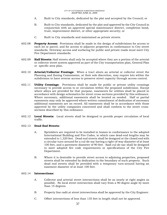- A. Built to City standards, dedicated by the plat and accepted by the Council; or
- B. Built to City standards, dedicated by the plat and approved by the City Council in conjunction with an approved special maintenance district, completion bond, trust, improvement district, or other appropriate security; or
- C. Built to City standards and maintained as private streets.
- 602.08 **Property Access:**Provisions shall be made in the design of subdivisions for access to each lot or parcel, and for access to adjacent properties in conformance to City street standards. Driveway access and surfacing for public and private roads must meet City Fire Department standards.
- 602.09 **Half Streets:** Half streets shall only be accepted where they are a portion of the arterial or collector street system approved as part of the City transportation plan, General Plan or specific area plan.
- 602.10 **Arterial/Collector Frontage:**When a tract abuts an arterial or collector street the Planning and Zoning Commission, at their sole discretion, may require lots within the subdivision to have reverse access to preserve street capacity through access control.
- 602.11 **Utility Crossings:**Provisions shall be made for public or private utility crossings necessary to provide access to or circulation within the proposed subdivision. Except where alleys are provided for that purpose, easements for utilities shall be placed in accordance with design schematics for street cross-sections provided by this ordinance. Where necessary, additional easements shall be located as needed. Half or partial easements may only be approved where written commitment of dedication of necessary additional easements are on record. All easements shall be in accordance with those approved by the utility companies concerned and shall conform to the street crosssections described by this ordinance.
- 602.12 **Local Streets:**Local streets shall be designed to provide proper circulation of local traffic.

#### 602.13 **Dead End Streets:**

- A. Sprinklers are required to be installed in homes in conformance to the adopted International Building and Fire Codes, in which case dead-end lengths may be extended to 1,320 feet. Dead end streets shall be designed at the closed end with a circular turn-around for a cul-de-sac having a right-of-way diameter of at least 100 feet, and a pavement diameter of 90 feet. Said cul-de-sac shall be designed to meet adopted fire code requirements or specifications of the City Fire Department.
- B. Where it is desirable to provide street access to adjoining properties, proposed streets shall be extended by dedication to the boundary of such property. Such dead end streets shall be provided with a temporary turn-around having an easement diameter of at least 100 feet.

#### 602.14 **Intersections:**

- A. Collector and arterial street intersections shall be as nearly at right angles as possible. No local street intersection shall vary from a 90 degree angle by more than 15 degrees.
- B. Property line radii at street intersections shall be approved by the City Engineer.
- C. Offset intersections of less than 135 feet in length shall not be approved.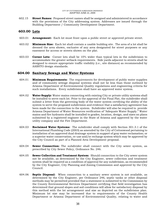602.15 **Street Names:**Proposed street names shall be assigned and administered in accordance with the provisions of the City addressing system. Addresses are issued through the Building Department / Community Development Department.

### **603.00 Lots**

- 603.01 **Arrangement:** Each lot must front upon a public street or approved private street.
- 603.02 **Minimum Size:** Each lot shall contain a usable building site. The area of a lot shall be deemed the area shown, exclusive of any area designated for street purposes or any easement for access or streets shown on the plat.
- 603.03 **Corner Lots:**Corner lots shall be 10% wider than typical lots in the subdivision to accommodate the greater setback requirements. Side yards adjacent to streets shall be designed to ensure appropriate traffic visibility (i.e., site distance) as recommended by AASHTO design standards.

### **604.00 Sanitary Sewage and Water Systems**

- 604.01 **Minimum Requirements:** The requirements for development of public water supplies and of community sewage disposal systems shall not be less than those outlined by Arizona Department of Environmental Quality regulations and engineering criteria for such installations. Every subdivision shall have an approved water system.
- 604.02 **Water Supply:** Water mains connecting with existing City or private utility systems shall be installed to serve each lot. Prior to the approval of the Final Plat, the subdivider shall submit a letter from the governing body of the water system certifying the ability of the system to serve the proposed subdivision and evidence that a satisfactory agreement has been made for the connection to the system. Subdivider will also be required to provide Arizona Department of Water Resources verification of "Adequate Water Supply." Water mains and fire hydrants shall be installed to grades, location, design, and sizes on plans submitted by a registered engineer in the State of Arizona and approved by the water utility company and the Fire Department.
- 604.03 **Reclaimed Water Systems:** The subdivider shall comply with Section 301.3.1 of the International Plumbing Code (2003) as amended by the City of Cottonwood pertaining to installation of an approved dual drainage system in support of gray water reclamation; or a superior water conservation, re-use and/or recharge system which may be approved by the City Council as part of a Planned Area Development proposal.
- 604.04 **Sewer Connection:** The subdivider shall connect with the City sewer system, as prescribed by City Sewer Policy, Ordinance No. 246.
- 604.05 **Sewer Collection and Treatment System:** Should connection to the City sewer system not be available, as determined by the City Engineer, sewer collection and treatment system shall be required as a condition of approval for any subdivision, as recommended by the City Engineer, City Planning and Zoning Commission and approved by the City Council.
- 604.06 **Septic Disposal:**When connection to a sanitary sewer system is not available, as determined by the City Engineer, per Ordinance 246, septic tanks or other disposal methods may be permitted provided that a statement is submitted to the Commission by the County Environmental Services Department certifying that field investigation has determined that ground slopes and soil conditions will allow for satisfactory disposal by this method with the lot arrangement and size as depicted on the subdivision plan. Minimum lot size may be increased due to requirements of the County Health Department or Arizona Department of Environmental Quality, relating to water and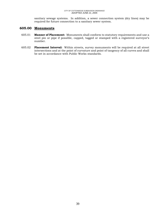sanitary sewage systems. In addition, a sewer connection system (dry lines) may be required for future connection to a sanitary sewer system.

### **605.00 Monuments**

- 605.01 **Manner of Placement:**Monuments shall conform to statutory requirements and use a steel pin or pipe if possible, capped, tagged or stamped with a registered surveyor's number.
- 605.02 **Placement Interval:**Within streets, survey monuments will be required at all street intersections and at the point of curvature and point of tangency of all curves and shall be set in accordance with Public Works standards.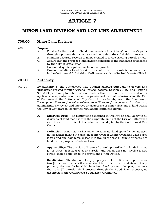### **ARTICLE 7**

### **MINOR LAND DIVISION AND LOT LINE ADJUSTMENT**

### **700.00 Minor Land Division**

### 700.01 **Purpose:**

- A. Provide for the division of land into parcels or lots of two (2) or three (3) parts through a process that is more expeditious than the subdivision process.
- B. Maintain accurate records of maps created to divide existing parcels or lots.
- C. Assure that the proposed land division conforms to the standards established by the City of Cottonwood.
- D. Ensure adequate legal access to lots or parcels.
- E. Ensure that Minor Land Division does not constitute a subdivision as defined in the Cottonwood Subdivision Ordinance or Arizona Revised Statutes Title 9.

### **701.00 Authority**

- 701.01 By authority of the Cottonwood City Council adopted pursuant to powers and jurisdictions vested through Arizona Revised Statutes, Section § 9-463 and Section § 9-463.01 pertaining to subdivision of lands within incorporated areas, and other applicable laws, statutes, orders, and regulations of the State of Arizona and the City of Cottonwood, the Cottonwood City Council does hereby grant the Community Development Director, hereafter referred to as "Director," the power and authority to administratively review and approve or disapprove of minor divisions of land within the City of Cottonwood, as per the regulations contained herein.
	- A. **Effective Date:** The regulations contained in this Article shall apply to all divisions of land made within the corporate limits of the City of Cottonwood as of the effective date of this ordinance as adopted by the Cottonwood City Council.
	- B. **Definition:** Minor Land Division is the same as "land splits," which as used in this article means the division of improved or unimproved land whose area is two and one-half acres or less into two (2) or three (3) tracts or parcels of land for the purpose of sale or lease.
	- C. **Applicability:** The division of improved or unimproved land or lands into two (2) or three (3) lots, tracts, or parcels, and which does not involve a new street, shall be subject to the provisions of this Article.
	- D. **Subdivision:** The division of any property into four (4) or more parcels, or two (2) or more parcels if a new street is involved, or the division of any property, the boundaries which have been fixed by a recorded plat, into more than two (2) parcels, shall proceed through the Subdivision process, as described in the Cottonwood Subdivision Ordinance.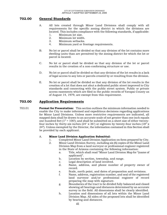### **702.00 General Standards**

- A. All lots created through Minor Land Divisions shall comply with all requirements for the specific zoning district in which the divisions are located. This includes compliance with the following standards, if applicable:
	- 1. Minimum lot size.
	- 2. Minimum lot width.
	- 3. Minimum setbacks.
	- 4. Minimum yard or frontage requirements.
- B. No lot or parcel shall be divided so that any division of the lot contains more dwelling units than are permitted by the zoning district for which the lot or parcel is located.
- C. No lot or parcel shall be divided so that any division of the lot or parcel results in the creation of a non-conforming structure or use.
- D. No lot or parcel shall be divided so that any division of the lot results in a lack of legal access to any lots or parcels created by or resulting from the division.
- E. No lot or parcel shall be divided so that any division of the lot results in the creation of a lot that does not abut a dedicated public street improved to City standards and connecting with the public street system. Public or private access easements which are filed in the public records of Yavapai County as of August 14, 1979, are exempt from this requirement.

### **703.00 Application Requirements**

703.01 **Format for Presentation:** This section outlines the minimum information needed to enable the City to make informed and expeditious decisions regarding applications for Minor Land Divisions. Unless more restrictive requirements are indicated, all mapped data shall be drawn to an accurate scale of not greater than one inch equals one hundred feet  $(1" = 100')$ ; and shall be submitted on a sheet size of either twentyfour inches by thirty-six inches (24" x 36") or eighteen by twenty-four inches (18" x 24"). Unless exempted by the Director, the information contained in this Section shall be provided by each applicant.

### A. **Minor Land Division Application Submittal:**

- 1. Completed Minor Land Division Application on form prepared by City.
- 2. Minor Land Division Survey, including six (6) copies of the Minor Land Division Map from a land surveyor or professional engineer registered in the State of Arizona containing the following information:
	- a. Title, which shall read "Minor Land Division Map for "(name of applicant)".
	- b. Location by section, township, and range.
	- c. Legal description of land involved.
	- d. Name, address, and phone number of property owner of record.
	- e. Scale, north point, and dates of preparation and revisions.
	- f. Name, address, registration number, and seal of the registered land surveyor and/or professional engineer of record preparing the map with signature.
	- g. Boundaries of the tract to be divided fully balanced and closed showing all bearings and distances determined by an accurate survey in the field. All dimensions shall be clearly identified.
	- h. Location and dimensions of all lots within the Minor Land Division Map. All sides of the proposed lots shall be identified by bearing and distances.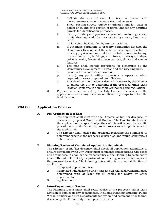*CITY OF COTTONWOOD SUBDIVISION ORDINANCE ARTICLE 7 ADOPTED SEPTEMBER 19, 2006*

- i. Indicate the size of each lot, tract or parcel with measurements shown in square feet and acreage.
- j. Show existing streets (public or private); and lot, tract or parcel lines. Indicate portion of parcel line for any abutting parcels for identification purposes.
- k. Identify existing and proposed easements, including access, utility, drainage and other easements, by course, length and width.
- l. All lots shall be identified by number or letter.
- m. If questions pertaining to property boundaries develop, the Community Development Department may require location of existing physical and natural features to be shown, including, but not limited to, buildings, structures, driveways, bridges, culverts, walls, fences, drainage courses, slopes and similar features.
- n. The map shall include provisions for signatures by the Community Development Director and the City Engineer.
- o. Location for Recorder's information.
- p. Identify any public utility extensions or upgrades, when required, to serve proposed land division.
- q. Provide other information as deemed necessary by the Director to enable the City to determine if the proposed Minor Land Division conforms to applicable ordinances and regulations.
- 3. Payment of a fee, as set by the City Council, for review of the application and for any revisions of official City maps to reflect the land division.

### **704.00 Application Process**

### A. **Pre-Application Meeting:**

- 1. The applicant shall meet with the Director, or his/her designee, to discuss the proposed Minor Land Division. The Director shall advise the applicant of the specific objectives of this article and the specific procedures, standards, and approval process regarding the review of the application.
- 2. The Director shall advise the applicant regarding the standards to determine whether the proposed division of land would constitute a subdivision.

### B. **Planning Review of Completed Application Submittal:**

The Director, or his/her designee, shall check all application submittals to ensure compliance with City Department comments and applicable City codes and ordinances. It shall be the responsibility of the Planning Department to ensure that all relevant city departments or other agencies receive copies of the proposal for review. The following information is required at the time of application:

- 1. Completed application form.
- 2. Completed land division survey map and all related documentation as determined with at least six (6) copies for review by other departments.
- 3. Application fee.

### C. **Inter-Departmental Review:**

The Planning Department shall route copies of the proposed Minor Land Division to applicable city departments, including Planning, Building, Public Works, Utilities and Fire Departments for review and comment prior to final decision by the Community Development Director.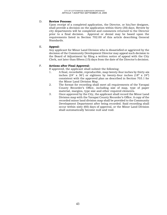### D. **Review Process:**

Upon receipt of a completed application, the Director, or his/her designee, shall provide a decision on the application within thirty (30) days. Review by city departments will be completed and comments returned to the Director prior to a final decision. Approval or denial may be based upon the requirements listed in Section 702.00 of this article describing General Standards.

### E. **Appeal:**

Any applicant for Minor Land Division who is dissatisfied or aggrieved by the decision of the Community Development Director may appeal such decision to the Board of Adjustment by filing a written notice of appeal with the City Clerk, not later than fifteen (15) days from the date of the Director's decision.

### F. **Actions after Final Approval:**

If approved, the applicant shall submit the following:

- 1. A final, recordable, reproducible, map twenty-four inches by thirty-six inches  $(24" \times 36")$  or eighteen by twenty-four inches  $(18" \times 24")$ consistent with the approved plan as described in Section 703.1 for the Minor Land Division Map.
- 2. The format for recording shall meet all requirements of the Yavapai County Recorder's Office, including size of map, type of paper material, margins, type size and other required elements.
- 3. Once approved by the City, the applicant shall record the Minor Land Division map with the Yavapai County Recorder's Office. A copy of the recorded minor land division map shall be provided to the Community Development Department after being recorded. Said recording shall occur within sixty (60) days of approval, or the Minor Land Division shall automatically become null and void.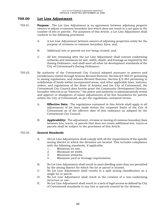### **705.00 Lot Line Adjustment**

- 705.01 **Purpose:** The Lot Line Adjustment is an agreement between adjoining property owners to adjust a common boundary line which does not result in a net gain in the number of lots or parcels. For purposes of this Article, a Lot Line Adjustment shall conform to the following provisions:
	- A. A Lot Line Adjustment between owners of adjoining properties solely for the purpose of revisions to common boundary lines; and,
	- B. Additional lots or parcels are not being created; and,
	- C. All lots remaining after the Lot Line Adjustment shall contain conforming setbacks and minimum lot size, width, depth, and frontage as required by the Zoning Ordinance, and shall meet all other lot development standards of the City of Cottonwood's Zoning Ordinance.
- 705.02 By authority of the Cottonwood City Council adopted pursuant to powers and jurisdictions vested through Arizona Revised Statutes, Section § 9-462.01 pertaining to zoning regulations, and Arizona Revised Statutes, Section § 9-463 pertaining to subdivision of lands within incorporated areas, and other applicable laws, statutes, orders, and regulations of the State of Arizona and the City of Cottonwood, the Cottonwood City Council does hereby grant the Community Development Director, hereafter referred to as "Director," the power and authority to administratively review and approve or disapprove of minor adjustments of lot line boundaries for parcels within the City of Cottonwood, as per the regulations contained herein.
	- A. **Effective Date:** The regulations contained in this Article shall apply to all adjustments of lot lines made within the corporate limits of the City of Cottonwood as of the effective date of this ordinance as adopted by the Cottonwood City Council.
	- B. **Applicability:** The adjustment, revision or moving of common boundary lines between lots, tracts, or parcels that does not create additional lots, tracts or parcels shall be subject to the provisions of this Article.

### 705.03 **General Standards:**

- A. All Lot Line Adjustments shall comply with all the requirements of the specific zoning district in which the divisions are located. This includes compliance with the following standards, if applicable:
	- 1. Minimum lot size.
	- 2. Minimum lot width.
	- 3. Minimum setbacks.
	- 4. Minimum yard or frontage requirements.
- B. No Lot Line Adjustment shall result in more dwelling units than are permitted by the zoning district for which the lot or parcel is located.
- C. No Lot Line Adjustment shall results in a split zoning classification on a single lot or parcel.
- D. No Lot Line Adjustment shall result in the creation of a non-conforming structure or use.
- E. No Lot Line Adjustment shall result in a lack of legal access as defined by City of Cottonwood standards to any lots or parcels created by the division.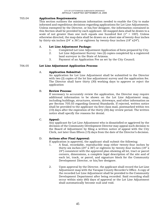### 705.04 **Application Requirements:**

This section outlines the minimum information needed to enable the City to make informed and expeditious decisions regarding applications for Lot Line Adjustments. Unless exempted by the Director, or his/her designee, the information contained in this Section shall be provided by each applicant. All mapped data shall be drawn to a scale of not greater than one inch equals one hundred feet  $(1^{\prime\prime} = 100^{\prime})$ . Unless otherwise directed, the map data shall be drawn on a sheet size of twenty-four inches by thirty-six inches (24" x 36") or eighteen by twenty-four inches (18" x24").

### A. **Lot Line Adjustment Package:**

- 1. Completed Lot Line Adjustment Application of form prepared by City.
- 2. Lot Line Adjustment Survey: two (2) copies completed by a registered land surveyor in the State of Arizona.
- 3. Payment of an Application Fee as set by the City Council.

### 706.05 **Lot Line Adjustment Application Process:**

### A. **Application Submittal:**

An application for Lot Line Adjustment shall be submitted to the Director with two (2) copies of the lot line adjustment survey and the application fee. The Director shall have thirty (30) working days to approve or reject the application

### B. **Review Process:**

If necessary to accurately review the application, the Director may require additional information to be shown on the Lot Line Adjustment map, including buildings, structures, streets, driveways, and other information as per Section 705.03 regarding General Standards. If rejected, written notice shall be provided to the applicant via first class mail, postmarked within ten (10) days after the expiration of the thirty (30) day review period. The written notice shall specify the reasons for denial.

### C. **Appeal:**

Any applicant for Lot Line Adjustment who is dissatisfied or aggrieved by the decision of the Community Development Director may appeal such decision to the Board of Adjustment by filing a written notice of appeal with the City Clerk, not later than fifteen (15) days from the date of the Director's decision.

### D. **Actions after Final Approval:**

If application is approved, the applicant shall submit the following:

- 1. A final, recordable, reproducible map either twenty-four inches by thirty-six inches (24" x 36") or eighteen by twenty-four inches (18" x 24") consistent with the approved plan showing all lot, tract or parcel corners, dimensions, a complete legal description of the site and of each lot, track, or parcel, and signature block for the Community Development Director, or his/her designee.
- 2. Upon approval by the Director, the applicant shall record the Lot Line Adjustment map with the Yavapai County Recorder's Office. A copy of the recorded Lot Line Adjustment shall be provided to the Community Development Department after being recorded. Said recording shall occur within sixty (60) days of approval or the Lot Line Adjustment shall automatically become null and void.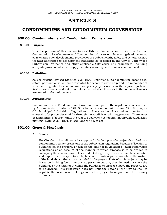### **ARTICLE 8**

### **CONDOMINIUMS AND CONDOMINIUM CONVERSIONS**

### **800.00 Condominiums and Condominium Conversions**

### 800.01 **Purpose:**

It is the purpose of this section to establish requirements and procedures for new Condominium Developments and Condominium Conversions for existing development so as to ensure such developments provide for the public health, safety and general welfare through adherence to development standards as provided in the City of Cottonwood Subdivision Ordinance and other applicable City codes and ordinances, including adequate provision of water supply, sanitary sewerage and similar common facilities.

### 800.02 **Definition:**

As per Arizona Revised Statutes § 33-1202, Definitions, "Condominium" means real estate, portions of which are designated for separate ownership and the remainder of which is designated for common ownership solely by the owners of the separate portions. Real estate is not a condominium unless the undivided interests in the common elements are vested in the unit owners.

### 800.03 **Applicability:**

Condominium and Condominium Conversion is subject to the regulations as described by Arizona Revised Statutes, Title 33, Chapter 9, Condominiums, and Title 9, Chapter 6.2, Municipal Subdivision Regulations. The creation of a condominium form of ownership for properties shall be through the subdivision platting process. There must be a minimum of four (4) units in order to qualify for a condominium through subdivision platting. (ARS §§ 33- 1201. et seq., and 9-463. et seq.)

### **801.00 General Standards**

### A. **General.**

The City Council shall not refuse approval of a final plat of a project described as a condominium under provisions of the subdivision regulations because of location of buildings on the property shown on the plat not in violation of such subdivision regulations or on account of the manner in which airspace is to be divided in conveying the condominium. Fees and lot design requirements shall be computed and imposed with respect to such plats on the basis of parcels or lots on the surface of the land shown thereon as included in the project. Plats of such projects may be based on building footprints but, as per state statute, they do need not show the buildings or the manner in which the buildings or airspace above the property are to be divided. This subsection does not limit the power of the City Council to regulate the location of buildings in such a project by or pursuant to a zoning ordinance.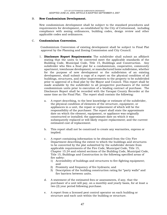### B. **New Condominium Development.**

New condominium development shall be subject to the standard procedures and requirements for development, as established by the City of Cottonwood, including compliance with zoning ordinances, building codes, design review and other applicable codes and ordinances.

### C. **Condominium Conversion.**

Condominium Conversion of existing development shall be subject to Final Plat approval by the Planning and Zoning Commission and City Council.

- 1. **Disclosure Report Requirements:** The subdivider shall submit an affidavit stating that the units to be converted meet the applicable standards of the Building Code, Municipal Code, Title 15, Buildings and Construction. Any subdivider who files a final plat for a condominium, cooperative, community apartment, townhouse development, or manufactured home subdivision, whether for the purpose of new development or the subdivision of an existing development, shall submit a copy of a report on the physical condition of all buildings, structures, and other improvements to the property to be subdivided prior to approval of a final plat by the Mayor and Council. This report shall be made available by the subdivider to all prospective purchasers of the initial condominium units prior to execution of a binding contract of purchase. The Disclosure Report shall be recorded with the Yavapai County Recorder at the same time as the Final Plat. The report shall contain the following:
	- a. A report describing, to the best knowledge or estimate of the subdivider, the physical condition of elements of the structure, equipment, or appliances in a unit, the repair or replacement of which will be the responsibility of the purchaser. The report shall state the approximate date on which the element, equipment, or appliance was originally constructed or installed; the approximate date on which it was subsequently replaced or will likely require replacement; and the current estimated cost of replacement.
	- b. This report shall not be construed to create any warranties, express or implied.
	- c. A report containing information to be obtained from the City Fire Department describing the extent to which the buildings and structures to be converted by the plat submitted by the subdivider deviate from applicable requirements of the Fire Code, Municipal Code, Title 15, Chapter 15.24 and related sections of the Building Code, Municipal Code, Title 15, Buildings and Construction in the following specified areas of fire safety:
		- 1) Accessibility of buildings and structures to fire-fighting equipment; and
		- 2) Proximity and frequency of fire hydrants; and
		- 3) Description of the building construction rating for "party walls" and fire barriers between units.
	- d. A statement of the estimated fees or assessments, if any, that the purchaser of a unit will pay, on a monthly and yearly basis, for at least a two (2) year period following purchase.
	- e. A report from a licensed pest control operator on each building or structure and each unit within the building or structure.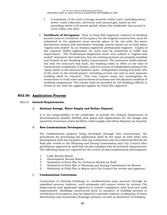*CITY OF COTTONWOOD SUBDIVISION ORDINANCE ADOPTED JUNE 21, 2005; ARTICLE 8 ADOPTED SEPTEMBER 4, 2007*

- f. A statement of the unit's average monthly utility costs, including water, sewer, trash collection, electricity and natural gas, based on the preceding twelve (12) month period, where the subdivider has access to such utility cost data.
- 2. **Certificate of Occupancy:** Prior to Final Plat Approval, evidence of building permits and/or Certificate of Occupancy for the original construction must be submitted or the applicant must provide plans of the site with the water distribution system and wastewater drainage system shown on as-built plans "signed and sealed" by an Arizona registered professional engineer. Copies of the required ADEQ application for such may be submitted to fulfill this requirement. The Professional Registrant must also submit a "signed and sealed" statement that indicates that the existing systems are properly installed and located as per Building Safety requirements. The statement shall indicate the year the structure was built, the building codes in effect at the time of construction completion, if known, and the results of independent testing of the "party walls" or fire barriers between units. Independent testing of at least 10% of the units in the overall project, including at least one unit in each separate building shall be required. This may require some site investigation by contractors to verify sizes and locations of systems and the physical condition of building components. The results shall be provided for the Building Official to review at the time the applicant applies for Final Plat Approval.

### **802.00 Application Process**

### 802.01 **General Requirements.**

#### A. **Sanitary Sewage, Water Supply and Refuse Disposal.**

It is the responsibility of the subdivider to provide the Arizona Department of Environmental Quality (ADEQ) with plans and applications for the design and operation of sanitary sewer facilities, water supply and refuse disposal, as required.

#### B. **New Condominium Development.**

For condominium projects being developed through new construction, the procedures for processing the application shall be the same as with other new development with the exception that the subdivision may be submitted directly for final plat review to the Planning and Zoning Commission and City Council after preliminary approval by staff that the plat complies with all technical requirements. The following steps are required for the review of new condominium development:

- 1. Code Review Board.
- 2. Development Review Board.
- 3. Submittal of Final Plat for Technical Review by Staff.
- 4. Submittal of Final Plat to Planning and Zoning Commission for Review.
- 5. Submittal of Final Plat to Mayor and City Council for review and approval.

#### C. **Condominium Conversion.**

Conversion of existing buildings to condominiums may proceed through an expedited process; however, such proposals still require review by various City departments and applicable agencies to ensure compliance with local and state requirements. Buildings constructed prior to issuance of building permits or certificates of occupancy may be required to provide evidence of adequacy of water distribution and wastewater drainage systems, as well as disclosure of building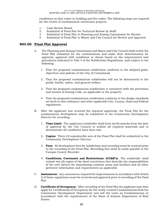*CITY OF COTTONWOOD SUBDIVISION ORDINANCE ADOPTED JUNE 21, 2005; ARTICLE 8 ADOPTED SEPTEMBER 4, 2007*

conditions as they relate to building and fire codes. The following steps are required for the review of condominium conversion projects:

- 1. Code Review Board.
- 2. Submittal of Final Plat for Technical Review by Staff.
- 3. Submittal of Final Plat to Planning and Zoning Commission for Review.
- 4. Submittal of Final Plat to Mayor and City Council for Review and Approval.

### **803.00 Final Plat Approval**

- A. The Planning and Zoning Commission and Mayor and City Council shall review the Final Plat submittal for the condominium and make their determination for approval, approval with conditions or denial based on the requirements and procedures indicated in Title 4 of the Subdivision Regulations, and subject to the following:
	- 1. That the proposed condominium subdivision conforms to the adopted goals, objectives and policies of the City of Cottonwood.
	- 2. That the proposed condominium subdivision will not be detrimental to the public health, safety, and general welfare.
	- 3. That the proposed condominium subdivision is consistent with the provisions and intents of Zoning Code, as applicable to the property.
	- 4. That the proposed condominium subdivision conforms to the design standards set forth in this ordinance and other applicable City, County, State and Federal regulations.
- B. After the applicant has received the required approvals, the Final Plat for the condominium development may be submitted to the Community Development Director for recording.
	- 1. **Time Limit:** The applicant/subdivider shall have six (6) months from the date of approval by the City Council to submit all required materials and to demonstrate all conditions have been met.
	- 2. **Copies:** Three (3) reproducible sets of the Final Plat shall be submitted to the Community Development Director.
	- 3. **Fees:** All development fees for subdivision and recording must be received prior to the recording of the Final Plat. Recording fees shall be made payable to the Yavapai County Recorder.
	- 4. **Conditions, Covenants and Restrictions: (CC&R's)** The subdivider shall submit two (2) copies of the deed restrictions that describe the responsibilities of the unit owners for maintaining common areas and facilities and all other pertinent information and requirements as applicable.
- C. **Assurances:** Any assurances required for improvements in accordance with Article 5 of these regulations must be received and approved prior to recording of the Final Plat.
- D. **Certificate of Occupancy:** After recording of the Final Plat the applicant may then apply for Certificate(s) of Occupancy for the newly created Condominiums from the Community Development Department and sell the units as Condominiums in accordance with the requirements of the State of Arizona Department of Real Estate.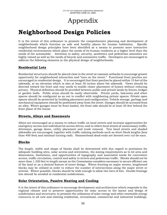# Appendix

## **Neighborhood Design Policies**

It is the intent of this ordinance to promote the comprehensive planning and development of neighborhoods which function as safe and healthy places for human habitation. Specific neighborhood design principles have been identified as a means to promote more interactive residential environments which place the needs of its human residents at a higher level than the needs of the automobile. Attention to safety, security, aesthetics and pedestrian amenities are highly valued as well as the needs of bicycle and automotive traffic. Developers are encouraged to address the following elements in the physical design of neighborhoods:

### **Residential Lots**

Residential structures should be placed close to the street at common setbacks to encourage greater opportunity for neighborhood interaction and "eyes on the street." Functional front porches are encouraged in residential design. It is encouraged that front porches be placed within 15 feet of the sidewalk, at an elevation which is also at least 30 inches above the sidewalk. Views should be directed toward the front and rear yards to enable closer placement of homes without reducing privacy. Physical definition should be provided between public and private lands by fences, hedges or garden walls. Public areas should be easily observable. Private yards, balconies and other spaces should be configured so as not to conflict with neighboring private spaces. Private open spaces should be protected by building placement and configuration. Vehicle storage, garbage and mechanical equipment should be positioned away from the street. Garages should be accessed from an alley. Where garages must be front loaded, the front side should be at least 20 feet behind the front plane of the house.

### **Streets, Alleys and Easements**

Alleys are encouraged as a means to reduce traffic on local streets and increase opportunities for emergency access and individual lot access drives; and to relieve local streets of unnecessary traffic, driveways, garage doors, utility placement and trash removal. Tree lined streets and shaded sidewalks are encouraged, together with traffic calming methods such as short block lengths (less than 400 feet) and minimal turning radii. Hammerhead dead-ends are favored over cul-de-sacs.

### **Blocks**

The length, width and shape of blocks shall be determined with due regard to provisions for adequate building sites, solar access and orientation, the zoning requirements as to lot area and dimensions, limitations, and opportunities of topography and associated needs for convenient access, traffic circulation, control and safety to streets and pedestrian traffic. Blocks should not be more than 1,320 feet in length except as the Commission considers necessary to secure efficient use of the land or as a desired feature of street design. Where fronting on major streets, lengthened blocks may be utilized in order to reduce the number of intersections along the major street or arterial. Where possible, blocks should be wide enough to allow two tiers of lots. Double frontage lots should be avoided in residential subdivisions.

### **Solar Orientation, Passive Heating and Cooling**

It is the intent of this ordinance to encourage development and architecture which responds to the regional climate and to preserve opportunities for solar access in the layout and design of subdivisions and structures; to promote the utilization of solar energy and other renewable energy resources in all new and existing residential, recreational, commercial and industrial buildings.